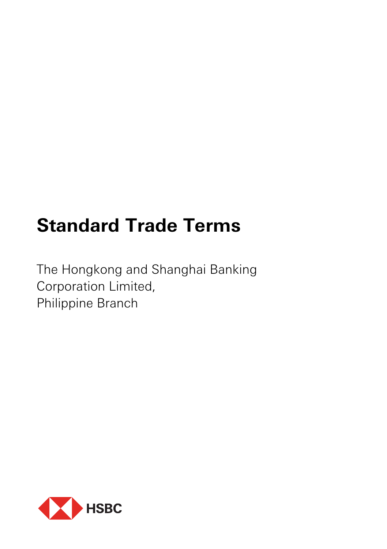# **Standard Trade Terms**

The Hongkong and Shanghai Banking Corporation Limited, Philippine Branch

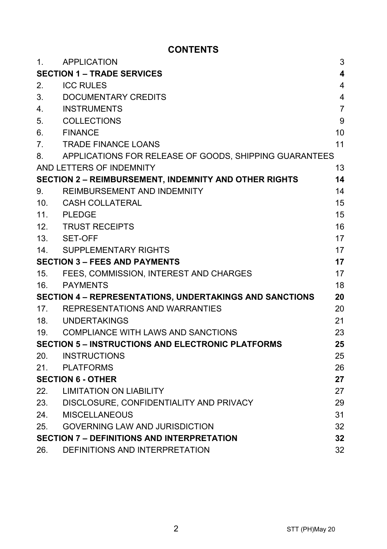# **CONTENTS**

| 1.                                                             | APPLICATION                                                  | 3              |
|----------------------------------------------------------------|--------------------------------------------------------------|----------------|
| <b>SECTION 1 - TRADE SERVICES</b><br>4                         |                                                              |                |
| 2.                                                             | <b>ICC RULES</b>                                             | 4              |
| 3.                                                             | DOCUMENTARY CREDITS                                          | 4              |
| 4.                                                             | <b>INSTRUMENTS</b>                                           | $\overline{7}$ |
| 5.                                                             | COLLECTIONS                                                  | 9              |
| 6.                                                             | <b>FINANCE</b>                                               | 10             |
| 7.                                                             | <b>TRADE FINANCE LOANS</b>                                   | 11             |
| 8.                                                             | APPLICATIONS FOR RELEASE OF GOODS, SHIPPING GUARANTEES       |                |
|                                                                | AND LETTERS OF INDEMNITY                                     | 13             |
|                                                                | <b>SECTION 2 - REIMBURSEMENT, INDEMNITY AND OTHER RIGHTS</b> | 14             |
| 9.                                                             | REIMBURSEMENT AND INDEMNITY                                  | 14             |
|                                                                | 10. CASH COLLATERAL                                          | 15             |
|                                                                | 11. PLEDGE                                                   | 15             |
|                                                                | 12. TRUST RECEIPTS                                           | 16             |
|                                                                | 13. SET-OFF                                                  | 17             |
|                                                                | 14. SUPPLEMENTARY RIGHTS                                     | 17             |
| <b>SECTION 3 - FEES AND PAYMENTS</b>                           |                                                              | 17             |
|                                                                | 15. FEES, COMMISSION, INTEREST AND CHARGES                   | 17             |
| 16.                                                            | PAYMENTS                                                     | 18             |
| <b>SECTION 4 - REPRESENTATIONS, UNDERTAKINGS AND SANCTIONS</b> |                                                              | 20             |
|                                                                | 17. REPRESENTATIONS AND WARRANTIES                           | 20             |
|                                                                | 18. UNDERTAKINGS                                             | 21             |
|                                                                | 19. COMPLIANCE WITH LAWS AND SANCTIONS                       | 23             |
| <b>SECTION 5 - INSTRUCTIONS AND ELECTRONIC PLATFORMS</b><br>25 |                                                              |                |
| 20.                                                            | <b>INSTRUCTIONS</b>                                          | 25             |
| 21.                                                            | PLATFORMS                                                    | 26             |
| <b>SECTION 6 - OTHER</b>                                       |                                                              | 27             |
| 22.                                                            | <b>LIMITATION ON LIABILITY</b>                               | 27             |
|                                                                | 23. DISCLOSURE, CONFIDENTIALITY AND PRIVACY                  | 29             |
| 24.                                                            | MISCELLANEOUS                                                | 31             |
| 25.                                                            | <b>GOVERNING LAW AND JURISDICTION</b>                        | 32             |
| <b>SECTION 7 - DEFINITIONS AND INTERPRETATION</b>              |                                                              | 32             |
| 26.                                                            | DEFINITIONS AND INTERPRETATION                               | 32             |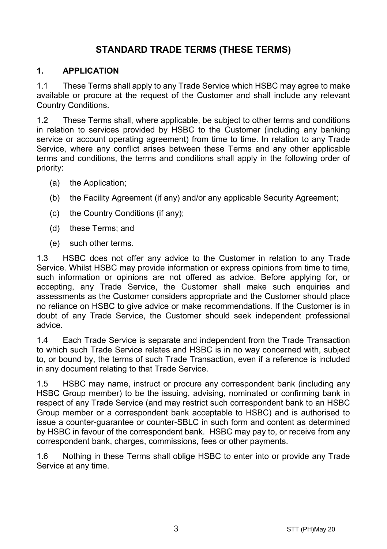# **STANDARD TRADE TERMS (THESE TERMS)**

#### **1. APPLICATION**

1.1 These Terms shall apply to any Trade Service which HSBC may agree to make available or procure at the request of the Customer and shall include any relevant Country Conditions.

1.2 These Terms shall, where applicable, be subject to other terms and conditions in relation to services provided by HSBC to the Customer (including any banking service or account operating agreement) from time to time. In relation to any Trade Service, where any conflict arises between these Terms and any other applicable terms and conditions, the terms and conditions shall apply in the following order of priority:

- (a) the Application;
- (b) the Facility Agreement (if any) and/or any applicable Security Agreement;
- (c) the Country Conditions (if any);
- (d) these Terms; and
- (e) such other terms.

1.3 HSBC does not offer any advice to the Customer in relation to any Trade Service. Whilst HSBC may provide information or express opinions from time to time, such information or opinions are not offered as advice. Before applying for, or accepting, any Trade Service, the Customer shall make such enquiries and assessments as the Customer considers appropriate and the Customer should place no reliance on HSBC to give advice or make recommendations. If the Customer is in doubt of any Trade Service, the Customer should seek independent professional advice.

1.4 Each Trade Service is separate and independent from the Trade Transaction to which such Trade Service relates and HSBC is in no way concerned with, subject to, or bound by, the terms of such Trade Transaction, even if a reference is included in any document relating to that Trade Service.

1.5 HSBC may name, instruct or procure any correspondent bank (including any HSBC Group member) to be the issuing, advising, nominated or confirming bank in respect of any Trade Service (and may restrict such correspondent bank to an HSBC Group member or a correspondent bank acceptable to HSBC) and is authorised to issue a counter-guarantee or counter-SBLC in such form and content as determined by HSBC in favour of the correspondent bank. HSBC may pay to, or receive from any correspondent bank, charges, commissions, fees or other payments.

1.6 Nothing in these Terms shall oblige HSBC to enter into or provide any Trade Service at any time.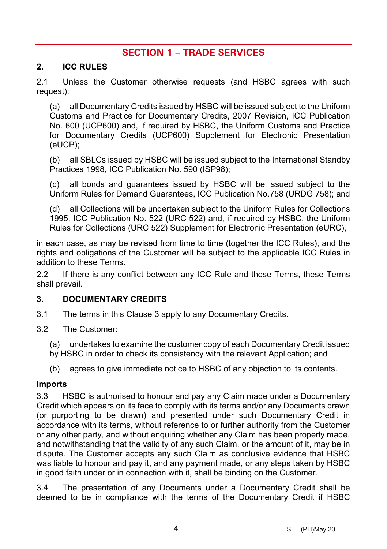# **SECTION 1 – TRADE SERVICES**

#### **2. ICC RULES**

2.1 Unless the Customer otherwise requests (and HSBC agrees with such request):

(a) all Documentary Credits issued by HSBC will be issued subject to the Uniform Customs and Practice for Documentary Credits, 2007 Revision, ICC Publication No. 600 (UCP600) and, if required by HSBC, the Uniform Customs and Practice for Documentary Credits (UCP600) Supplement for Electronic Presentation (eUCP);

(b) all SBLCs issued by HSBC will be issued subject to the International Standby Practices 1998, ICC Publication No. 590 (ISP98);

(c) all bonds and guarantees issued by HSBC will be issued subject to the Uniform Rules for Demand Guarantees, ICC Publication No.758 (URDG 758); and

(d) all Collections will be undertaken subject to the Uniform Rules for Collections 1995, ICC Publication No. 522 (URC 522) and, if required by HSBC, the Uniform Rules for Collections (URC 522) Supplement for Electronic Presentation (eURC),

in each case, as may be revised from time to time (together the ICC Rules), and the rights and obligations of the Customer will be subject to the applicable ICC Rules in addition to these Terms.

2.2 If there is any conflict between any ICC Rule and these Terms, these Terms shall prevail.

#### <span id="page-3-0"></span>**3. DOCUMENTARY CREDITS**

- 3.1 The terms in this Claus[e 3](#page-3-0) apply to any Documentary Credits.
- 3.2 The Customer:
	- (a) undertakes to examine the customer copy of each Documentary Credit issued
	- by HSBC in order to check its consistency with the relevant Application; and
	- (b) agrees to give immediate notice to HSBC of any objection to its contents.

#### **Imports**

3.3 HSBC is authorised to honour and pay any Claim made under a Documentary Credit which appears on its face to comply with its terms and/or any Documents drawn (or purporting to be drawn) and presented under such Documentary Credit in accordance with its terms, without reference to or further authority from the Customer or any other party, and without enquiring whether any Claim has been properly made, and notwithstanding that the validity of any such Claim, or the amount of it, may be in dispute. The Customer accepts any such Claim as conclusive evidence that HSBC was liable to honour and pay it, and any payment made, or any steps taken by HSBC in good faith under or in connection with it, shall be binding on the Customer.

3.4 The presentation of any Documents under a Documentary Credit shall be deemed to be in compliance with the terms of the Documentary Credit if HSBC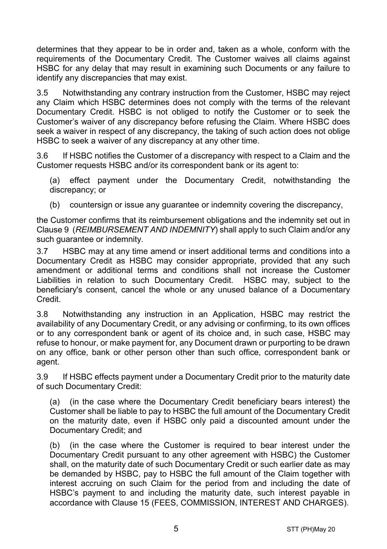determines that they appear to be in order and, taken as a whole, conform with the requirements of the Documentary Credit. The Customer waives all claims against HSBC for any delay that may result in examining such Documents or any failure to identify any discrepancies that may exist.

3.5 Notwithstanding any contrary instruction from the Customer, HSBC may reject any Claim which HSBC determines does not comply with the terms of the relevant Documentary Credit. HSBC is not obliged to notify the Customer or to seek the Customer's waiver of any discrepancy before refusing the Claim. Where HSBC does seek a waiver in respect of any discrepancy, the taking of such action does not oblige HSBC to seek a waiver of any discrepancy at any other time.

3.6 If HSBC notifies the Customer of a discrepancy with respect to a Claim and the Customer requests HSBC and/or its correspondent bank or its agent to:

(a) effect payment under the Documentary Credit, notwithstanding the discrepancy; or

(b) countersign or issue any guarantee or indemnity covering the discrepancy,

the Customer confirms that its reimbursement obligations and the indemnity set out in Claus[e 9](#page-13-0) (*[REIMBURSEMENT AND INDEMNITY](#page-13-0)*) shall apply to such Claim and/or any such guarantee or indemnity.

3.7 HSBC may at any time amend or insert additional terms and conditions into a Documentary Credit as HSBC may consider appropriate, provided that any such amendment or additional terms and conditions shall not increase the Customer Liabilities in relation to such Documentary Credit. HSBC may, subject to the beneficiary's consent, cancel the whole or any unused balance of a Documentary Credit.

3.8 Notwithstanding any instruction in an Application, HSBC may restrict the availability of any Documentary Credit, or any advising or confirming, to its own offices or to any correspondent bank or agent of its choice and, in such case, HSBC may refuse to honour, or make payment for, any Document drawn or purporting to be drawn on any office, bank or other person other than such office, correspondent bank or agent.

3.9 If HSBC effects payment under a Documentary Credit prior to the maturity date of such Documentary Credit:

(a) (in the case where the Documentary Credit beneficiary bears interest) the Customer shall be liable to pay to HSBC the full amount of the Documentary Credit on the maturity date, even if HSBC only paid a discounted amount under the Documentary Credit; and

(b) (in the case where the Customer is required to bear interest under the Documentary Credit pursuant to any other agreement with HSBC) the Customer shall, on the maturity date of such Documentary Credit or such earlier date as may be demanded by HSBC, pay to HSBC the full amount of the Claim together with interest accruing on such Claim for the period from and including the date of HSBC's payment to and including the maturity date, such interest payable in accordance with Clause [15](#page-16-0) [\(FEES, COMMISSION, INTEREST AND CHARGES\)](#page-16-0).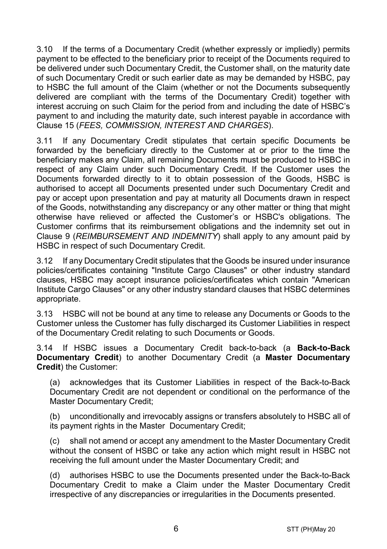3.10 If the terms of a Documentary Credit (whether expressly or impliedly) permits payment to be effected to the beneficiary prior to receipt of the Documents required to be delivered under such Documentary Credit, the Customer shall, on the maturity date of such Documentary Credit or such earlier date as may be demanded by HSBC, pay to HSBC the full amount of the Claim (whether or not the Documents subsequently delivered are compliant with the terms of the Documentary Credit) together with interest accruing on such Claim for the period from and including the date of HSBC's payment to and including the maturity date, such interest payable in accordance with Clause [15](#page-16-0) (*[FEES, COMMISSION, INTEREST AND CHARGES](#page-16-0)*).

3.11 If any Documentary Credit stipulates that certain specific Documents be forwarded by the beneficiary directly to the Customer at or prior to the time the beneficiary makes any Claim, all remaining Documents must be produced to HSBC in respect of any Claim under such Documentary Credit. If the Customer uses the Documents forwarded directly to it to obtain possession of the Goods, HSBC is authorised to accept all Documents presented under such Documentary Credit and pay or accept upon presentation and pay at maturity all Documents drawn in respect of the Goods, notwithstanding any discrepancy or any other matter or thing that might otherwise have relieved or affected the Customer's or HSBC's obligations. The Customer confirms that its reimbursement obligations and the indemnity set out in Clause [9](#page-13-0) (*[REIMBURSEMENT AND INDEMNITY](#page-13-0)*) shall apply to any amount paid by HSBC in respect of such Documentary Credit.

3.12 If any Documentary Credit stipulates that the Goods be insured under insurance policies/certificates containing "Institute Cargo Clauses" or other industry standard clauses, HSBC may accept insurance policies/certificates which contain "American Institute Cargo Clauses" or any other industry standard clauses that HSBC determines appropriate.

3.13 HSBC will not be bound at any time to release any Documents or Goods to the Customer unless the Customer has fully discharged its Customer Liabilities in respect of the Documentary Credit relating to such Documents or Goods.

<span id="page-5-0"></span>3.14 If HSBC issues a Documentary Credit back-to-back (a **Back-to-Back Documentary Credit**) to another Documentary Credit (a **Master Documentary Credit**) the Customer:

(a) acknowledges that its Customer Liabilities in respect of the Back-to-Back Documentary Credit are not dependent or conditional on the performance of the Master Documentary Credit;

(b) unconditionally and irrevocably assigns or transfers absolutely to HSBC all of its payment rights in the Master Documentary Credit;

(c) shall not amend or accept any amendment to the Master Documentary Credit without the consent of HSBC or take any action which might result in HSBC not receiving the full amount under the Master Documentary Credit; and

(d) authorises HSBC to use the Documents presented under the Back-to-Back Documentary Credit to make a Claim under the Master Documentary Credit irrespective of any discrepancies or irregularities in the Documents presented.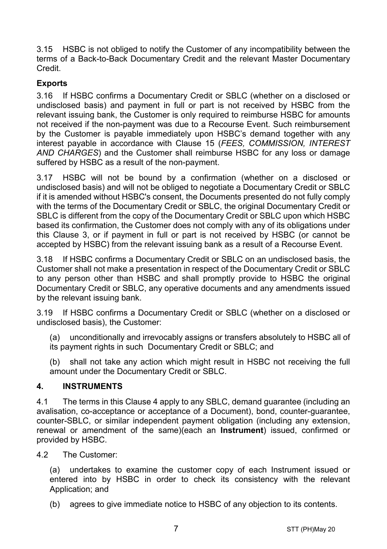3.15 HSBC is not obliged to notify the Customer of any incompatibility between the terms of a Back-to-Back Documentary Credit and the relevant Master Documentary Credit.

# **Exports**

3.16 If HSBC confirms a Documentary Credit or SBLC (whether on a disclosed or undisclosed basis) and payment in full or part is not received by HSBC from the relevant issuing bank, the Customer is only required to reimburse HSBC for amounts not received if the non-payment was due to a Recourse Event. Such reimbursement by the Customer is payable immediately upon HSBC's demand together with any interest payable in accordance with Clause [15](#page-16-0) (*[FEES, COMMISSION, INTEREST](#page-16-0)  [AND CHARGES](#page-16-0)*) and the Customer shall reimburse HSBC for any loss or damage suffered by HSBC as a result of the non-payment.

3.17 HSBC will not be bound by a confirmation (whether on a disclosed or undisclosed basis) and will not be obliged to negotiate a Documentary Credit or SBLC if it is amended without HSBC's consent, the Documents presented do not fully comply with the terms of the Documentary Credit or SBLC, the original Documentary Credit or SBLC is different from the copy of the Documentary Credit or SBLC upon which HSBC based its confirmation, the Customer does not comply with any of its obligations under this Clause [3,](#page-3-0) or if payment in full or part is not received by HSBC (or cannot be accepted by HSBC) from the relevant issuing bank as a result of a Recourse Event.

3.18 If HSBC confirms a Documentary Credit or SBLC on an undisclosed basis, the Customer shall not make a presentation in respect of the Documentary Credit or SBLC to any person other than HSBC and shall promptly provide to HSBC the original Documentary Credit or SBLC, any operative documents and any amendments issued by the relevant issuing bank.

3.19 If HSBC confirms a Documentary Credit or SBLC (whether on a disclosed or undisclosed basis), the Customer:

(a) unconditionally and irrevocably assigns or transfers absolutely to HSBC all of its payment rights in such Documentary Credit or SBLC; and

(b) shall not take any action which might result in HSBC not receiving the full amount under the Documentary Credit or SBLC.

#### <span id="page-6-0"></span>**4. INSTRUMENTS**

4.1 The terms in this Clause [4](#page-6-0) apply to any SBLC, demand guarantee (including an avalisation, co-acceptance or acceptance of a Document), bond, counter-guarantee, counter-SBLC, or similar independent payment obligation (including any extension, renewal or amendment of the same)(each an **Instrument**) issued, confirmed or provided by HSBC.

4.2 The Customer:

(a) undertakes to examine the customer copy of each Instrument issued or entered into by HSBC in order to check its consistency with the relevant Application; and

(b) agrees to give immediate notice to HSBC of any objection to its contents.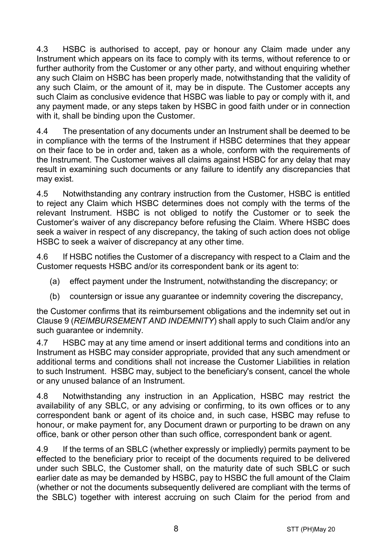4.3 HSBC is authorised to accept, pay or honour any Claim made under any Instrument which appears on its face to comply with its terms, without reference to or further authority from the Customer or any other party, and without enquiring whether any such Claim on HSBC has been properly made, notwithstanding that the validity of any such Claim, or the amount of it, may be in dispute. The Customer accepts any such Claim as conclusive evidence that HSBC was liable to pay or comply with it, and any payment made, or any steps taken by HSBC in good faith under or in connection with it, shall be binding upon the Customer.

4.4 The presentation of any documents under an Instrument shall be deemed to be in compliance with the terms of the Instrument if HSBC determines that they appear on their face to be in order and, taken as a whole, conform with the requirements of the Instrument. The Customer waives all claims against HSBC for any delay that may result in examining such documents or any failure to identify any discrepancies that may exist.

4.5 Notwithstanding any contrary instruction from the Customer, HSBC is entitled to reject any Claim which HSBC determines does not comply with the terms of the relevant Instrument. HSBC is not obliged to notify the Customer or to seek the Customer's waiver of any discrepancy before refusing the Claim. Where HSBC does seek a waiver in respect of any discrepancy, the taking of such action does not oblige HSBC to seek a waiver of discrepancy at any other time.

4.6 If HSBC notifies the Customer of a discrepancy with respect to a Claim and the Customer requests HSBC and/or its correspondent bank or its agent to:

- (a) effect payment under the Instrument, notwithstanding the discrepancy; or
- (b) countersign or issue any guarantee or indemnity covering the discrepancy,

the Customer confirms that its reimbursement obligations and the indemnity set out in Clause [9](#page-13-0) (*[REIMBURSEMENT AND INDEMNITY](#page-13-0)*) shall apply to such Claim and/or any such guarantee or indemnity.

4.7 HSBC may at any time amend or insert additional terms and conditions into an Instrument as HSBC may consider appropriate, provided that any such amendment or additional terms and conditions shall not increase the Customer Liabilities in relation to such Instrument. HSBC may, subject to the beneficiary's consent, cancel the whole or any unused balance of an Instrument.

4.8 Notwithstanding any instruction in an Application, HSBC may restrict the availability of any SBLC, or any advising or confirming, to its own offices or to any correspondent bank or agent of its choice and, in such case, HSBC may refuse to honour, or make payment for, any Document drawn or purporting to be drawn on any office, bank or other person other than such office, correspondent bank or agent.

4.9 If the terms of an SBLC (whether expressly or impliedly) permits payment to be effected to the beneficiary prior to receipt of the documents required to be delivered under such SBLC, the Customer shall, on the maturity date of such SBLC or such earlier date as may be demanded by HSBC, pay to HSBC the full amount of the Claim (whether or not the documents subsequently delivered are compliant with the terms of the SBLC) together with interest accruing on such Claim for the period from and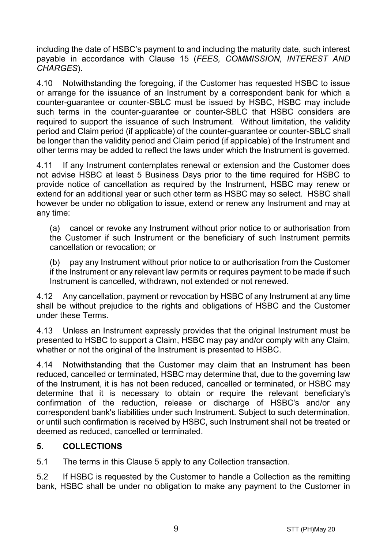including the date of HSBC's payment to and including the maturity date, such interest payable in accordance with Clause [15](#page-16-0) (*[FEES, COMMISSION, INTEREST AND](#page-16-0)  [CHARGES](#page-16-0)*).

4.10 Notwithstanding the foregoing, if the Customer has requested HSBC to issue or arrange for the issuance of an Instrument by a correspondent bank for which a counter-guarantee or counter-SBLC must be issued by HSBC, HSBC may include such terms in the counter-guarantee or counter-SBLC that HSBC considers are required to support the issuance of such Instrument. Without limitation, the validity period and Claim period (if applicable) of the counter-guarantee or counter-SBLC shall be longer than the validity period and Claim period (if applicable) of the Instrument and other terms may be added to reflect the laws under which the Instrument is governed.

4.11 If any Instrument contemplates renewal or extension and the Customer does not advise HSBC at least 5 Business Days prior to the time required for HSBC to provide notice of cancellation as required by the Instrument, HSBC may renew or extend for an additional year or such other term as HSBC may so select. HSBC shall however be under no obligation to issue, extend or renew any Instrument and may at any time:

(a) cancel or revoke any Instrument without prior notice to or authorisation from the Customer if such Instrument or the beneficiary of such Instrument permits cancellation or revocation; or

(b) pay any Instrument without prior notice to or authorisation from the Customer if the Instrument or any relevant law permits or requires payment to be made if such Instrument is cancelled, withdrawn, not extended or not renewed.

4.12 Any cancellation, payment or revocation by HSBC of any Instrument at any time shall be without prejudice to the rights and obligations of HSBC and the Customer under these Terms.

4.13 Unless an Instrument expressly provides that the original Instrument must be presented to HSBC to support a Claim, HSBC may pay and/or comply with any Claim, whether or not the original of the Instrument is presented to HSBC.

4.14 Notwithstanding that the Customer may claim that an Instrument has been reduced, cancelled or terminated, HSBC may determine that, due to the governing law of the Instrument, it is has not been reduced, cancelled or terminated, or HSBC may determine that it is necessary to obtain or require the relevant beneficiary's confirmation of the reduction, release or discharge of HSBC's and/or any correspondent bank's liabilities under such Instrument. Subject to such determination, or until such confirmation is received by HSBC, such Instrument shall not be treated or deemed as reduced, cancelled or terminated.

## <span id="page-8-0"></span>**5. COLLECTIONS**

5.1 The terms in this Claus[e 5](#page-8-0) apply to any Collection transaction.

5.2 If HSBC is requested by the Customer to handle a Collection as the remitting bank, HSBC shall be under no obligation to make any payment to the Customer in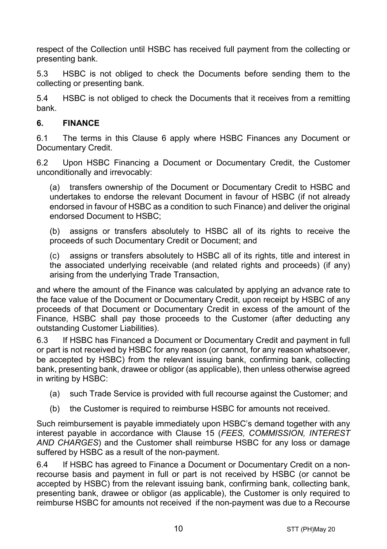respect of the Collection until HSBC has received full payment from the collecting or presenting bank.

5.3 HSBC is not obliged to check the Documents before sending them to the collecting or presenting bank.

5.4 HSBC is not obliged to check the Documents that it receives from a remitting bank.

## <span id="page-9-0"></span>**6. FINANCE**

6.1 The terms in this Clause [6](#page-9-0) apply where HSBC Finances any Document or Documentary Credit.

6.2 Upon HSBC Financing a Document or Documentary Credit, the Customer unconditionally and irrevocably:

(a) transfers ownership of the Document or Documentary Credit to HSBC and undertakes to endorse the relevant Document in favour of HSBC (if not already endorsed in favour of HSBC as a condition to such Finance) and deliver the original endorsed Document to HSBC;

(b) assigns or transfers absolutely to HSBC all of its rights to receive the proceeds of such Documentary Credit or Document; and

(c) assigns or transfers absolutely to HSBC all of its rights, title and interest in the associated underlying receivable (and related rights and proceeds) (if any) arising from the underlying Trade Transaction,

and where the amount of the Finance was calculated by applying an advance rate to the face value of the Document or Documentary Credit, upon receipt by HSBC of any proceeds of that Document or Documentary Credit in excess of the amount of the Finance, HSBC shall pay those proceeds to the Customer (after deducting any outstanding Customer Liabilities).

6.3 If HSBC has Financed a Document or Documentary Credit and payment in full or part is not received by HSBC for any reason (or cannot, for any reason whatsoever, be accepted by HSBC) from the relevant issuing bank, confirming bank, collecting bank, presenting bank, drawee or obligor (as applicable), then unless otherwise agreed in writing by HSBC:

- (a) such Trade Service is provided with full recourse against the Customer; and
- (b) the Customer is required to reimburse HSBC for amounts not received.

Such reimbursement is payable immediately upon HSBC's demand together with any interest payable in accordance with Clause [15](#page-16-0) (*[FEES, COMMISSION, INTEREST](#page-16-0)  [AND CHARGES](#page-16-0)*) and the Customer shall reimburse HSBC for any loss or damage suffered by HSBC as a result of the non-payment.

6.4 If HSBC has agreed to Finance a Document or Documentary Credit on a nonrecourse basis and payment in full or part is not received by HSBC (or cannot be accepted by HSBC) from the relevant issuing bank, confirming bank, collecting bank, presenting bank, drawee or obligor (as applicable), the Customer is only required to reimburse HSBC for amounts not received if the non-payment was due to a Recourse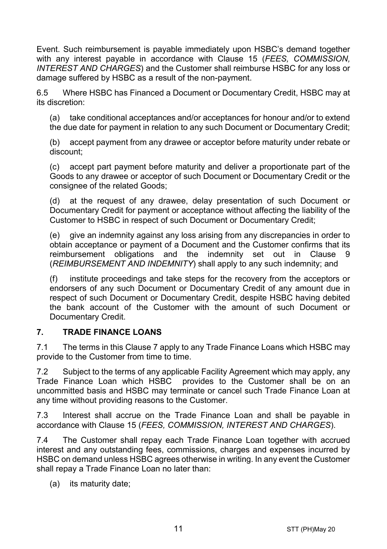Event. Such reimbursement is payable immediately upon HSBC's demand together with any interest payable in accordance with Clause [15](#page-16-0) (*[FEES, COMMISSION,](#page-16-0)  [INTEREST AND CHARGES](#page-16-0)*) and the Customer shall reimburse HSBC for any loss or damage suffered by HSBC as a result of the non-payment.

6.5 Where HSBC has Financed a Document or Documentary Credit, HSBC may at its discretion:

(a) take conditional acceptances and/or acceptances for honour and/or to extend the due date for payment in relation to any such Document or Documentary Credit;

(b) accept payment from any drawee or acceptor before maturity under rebate or discount;

(c) accept part payment before maturity and deliver a proportionate part of the Goods to any drawee or acceptor of such Document or Documentary Credit or the consignee of the related Goods;

(d) at the request of any drawee, delay presentation of such Document or Documentary Credit for payment or acceptance without affecting the liability of the Customer to HSBC in respect of such Document or Documentary Credit;

(e) give an indemnity against any loss arising from any discrepancies in order to obtain acceptance or payment of a Document and the Customer confirms that its reimbursement obligations and the indemnity set out in Clause [9](#page-13-0) (*[REIMBURSEMENT AND INDEMNITY](#page-13-0)*) shall apply to any such indemnity; and

(f) institute proceedings and take steps for the recovery from the acceptors or endorsers of any such Document or Documentary Credit of any amount due in respect of such Document or Documentary Credit, despite HSBC having debited the bank account of the Customer with the amount of such Document or Documentary Credit.

#### <span id="page-10-0"></span>**7. TRADE FINANCE LOANS**

7.1 The terms in this Clause [7](#page-10-0) apply to any Trade Finance Loans which HSBC may provide to the Customer from time to time.

7.2 Subject to the terms of any applicable Facility Agreement which may apply, any Trade Finance Loan which HSBC provides to the Customer shall be on an uncommitted basis and HSBC may terminate or cancel such Trade Finance Loan at any time without providing reasons to the Customer.

7.3 Interest shall accrue on the Trade Finance Loan and shall be payable in accordance with Clause [15](#page-16-0) (*[FEES, COMMISSION, INTEREST AND CHARGES](#page-16-0)*).

7.4 The Customer shall repay each Trade Finance Loan together with accrued interest and any outstanding fees, commissions, charges and expenses incurred by HSBC on demand unless HSBC agrees otherwise in writing. In any event the Customer shall repay a Trade Finance Loan no later than:

(a) its maturity date;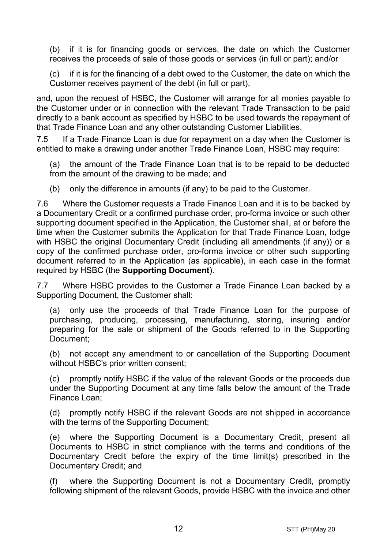(b) if it is for financing goods or services, the date on which the Customer receives the proceeds of sale of those goods or services (in full or part); and/or

(c) if it is for the financing of a debt owed to the Customer, the date on which the Customer receives payment of the debt (in full or part),

and, upon the request of HSBC, the Customer will arrange for all monies payable to the Customer under or in connection with the relevant Trade Transaction to be paid directly to a bank account as specified by HSBC to be used towards the repayment of that Trade Finance Loan and any other outstanding Customer Liabilities.

7.5 If a Trade Finance Loan is due for repayment on a day when the Customer is entitled to make a drawing under another Trade Finance Loan, HSBC may require:

(a) the amount of the Trade Finance Loan that is to be repaid to be deducted from the amount of the drawing to be made; and

(b) only the difference in amounts (if any) to be paid to the Customer.

7.6 Where the Customer requests a Trade Finance Loan and it is to be backed by a Documentary Credit or a confirmed purchase order, pro-forma invoice or such other supporting document specified in the Application, the Customer shall, at or before the time when the Customer submits the Application for that Trade Finance Loan, lodge with HSBC the original Documentary Credit (including all amendments (if any)) or a copy of the confirmed purchase order, pro-forma invoice or other such supporting document referred to in the Application (as applicable), in each case in the format required by HSBC (the **Supporting Document**).

7.7 Where HSBC provides to the Customer a Trade Finance Loan backed by a Supporting Document, the Customer shall:

(a) only use the proceeds of that Trade Finance Loan for the purpose of purchasing, producing, processing, manufacturing, storing, insuring and/or preparing for the sale or shipment of the Goods referred to in the Supporting Document;

(b) not accept any amendment to or cancellation of the Supporting Document without HSBC's prior written consent;

(c) promptly notify HSBC if the value of the relevant Goods or the proceeds due under the Supporting Document at any time falls below the amount of the Trade Finance Loan;

(d) promptly notify HSBC if the relevant Goods are not shipped in accordance with the terms of the Supporting Document;

(e) where the Supporting Document is a Documentary Credit, present all Documents to HSBC in strict compliance with the terms and conditions of the Documentary Credit before the expiry of the time limit(s) prescribed in the Documentary Credit; and

(f) where the Supporting Document is not a Documentary Credit, promptly following shipment of the relevant Goods, provide HSBC with the invoice and other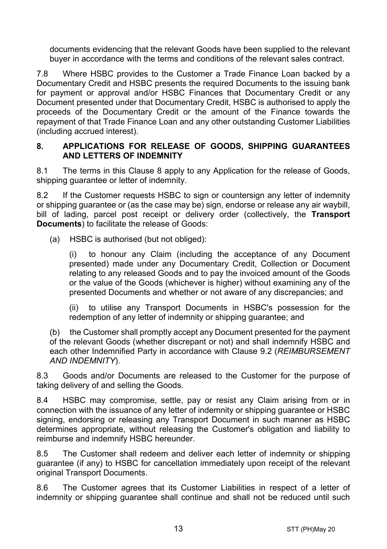documents evidencing that the relevant Goods have been supplied to the relevant buyer in accordance with the terms and conditions of the relevant sales contract.

7.8 Where HSBC provides to the Customer a Trade Finance Loan backed by a Documentary Credit and HSBC presents the required Documents to the issuing bank for payment or approval and/or HSBC Finances that Documentary Credit or any Document presented under that Documentary Credit, HSBC is authorised to apply the proceeds of the Documentary Credit or the amount of the Finance towards the repayment of that Trade Finance Loan and any other outstanding Customer Liabilities (including accrued interest).

#### <span id="page-12-0"></span>**8. APPLICATIONS FOR RELEASE OF GOODS, SHIPPING GUARANTEES AND LETTERS OF INDEMNITY**

8.1 The terms in this Clause [8](#page-12-0) apply to any Application for the release of Goods, shipping quarantee or letter of indemnity.

8.2 If the Customer requests HSBC to sign or countersign any letter of indemnity or shipping guarantee or (as the case may be) sign, endorse or release any air waybill, bill of lading, parcel post receipt or delivery order (collectively, the **Transport Documents**) to facilitate the release of Goods:

(a) HSBC is authorised (but not obliged):

(i) to honour any Claim (including the acceptance of any Document presented) made under any Documentary Credit, Collection or Document relating to any released Goods and to pay the invoiced amount of the Goods or the value of the Goods (whichever is higher) without examining any of the presented Documents and whether or not aware of any discrepancies; and

(ii) to utilise any Transport Documents in HSBC's possession for the redemption of any letter of indemnity or shipping guarantee; and

(b) the Customer shall promptly accept any Document presented for the payment of the relevant Goods (whether discrepant or not) and shall indemnify HSBC and each other Indemnified Party in accordance with Clause [9.2](#page-13-1) (*[REIMBURSEMENT](#page-13-0)  [AND INDEMNITY](#page-13-0)*).

8.3 Goods and/or Documents are released to the Customer for the purpose of taking delivery of and selling the Goods.

8.4 HSBC may compromise, settle, pay or resist any Claim arising from or in connection with the issuance of any letter of indemnity or shipping guarantee or HSBC signing, endorsing or releasing any Transport Document in such manner as HSBC determines appropriate, without releasing the Customer's obligation and liability to reimburse and indemnify HSBC hereunder.

8.5 The Customer shall redeem and deliver each letter of indemnity or shipping guarantee (if any) to HSBC for cancellation immediately upon receipt of the relevant original Transport Documents.

8.6 The Customer agrees that its Customer Liabilities in respect of a letter of indemnity or shipping guarantee shall continue and shall not be reduced until such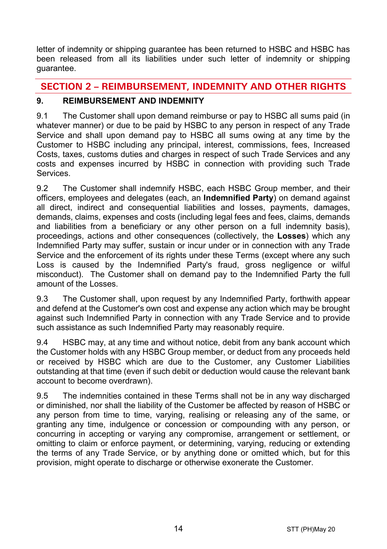letter of indemnity or shipping guarantee has been returned to HSBC and HSBC has been released from all its liabilities under such letter of indemnity or shipping guarantee.

# **SECTION 2 – REIMBURSEMENT, INDEMNITY AND OTHER RIGHTS**

# <span id="page-13-0"></span>**9. REIMBURSEMENT AND INDEMNITY**

9.1 The Customer shall upon demand reimburse or pay to HSBC all sums paid (in whatever manner) or due to be paid by HSBC to any person in respect of any Trade Service and shall upon demand pay to HSBC all sums owing at any time by the Customer to HSBC including any principal, interest, commissions, fees, Increased Costs, taxes, customs duties and charges in respect of such Trade Services and any costs and expenses incurred by HSBC in connection with providing such Trade **Services** 

<span id="page-13-1"></span>9.2 The Customer shall indemnify HSBC, each HSBC Group member, and their officers, employees and delegates (each, an **Indemnified Party**) on demand against all direct, indirect and consequential liabilities and losses, payments, damages, demands, claims, expenses and costs (including legal fees and fees, claims, demands and liabilities from a beneficiary or any other person on a full indemnity basis), proceedings, actions and other consequences (collectively, the **Losses**) which any Indemnified Party may suffer, sustain or incur under or in connection with any Trade Service and the enforcement of its rights under these Terms (except where any such Loss is caused by the Indemnified Party's fraud, gross negligence or wilful misconduct). The Customer shall on demand pay to the Indemnified Party the full amount of the Losses.

9.3 The Customer shall, upon request by any Indemnified Party, forthwith appear and defend at the Customer's own cost and expense any action which may be brought against such Indemnified Party in connection with any Trade Service and to provide such assistance as such Indemnified Party may reasonably require.

9.4 HSBC may, at any time and without notice, debit from any bank account which the Customer holds with any HSBC Group member, or deduct from any proceeds held or received by HSBC which are due to the Customer, any Customer Liabilities outstanding at that time (even if such debit or deduction would cause the relevant bank account to become overdrawn).

9.5 The indemnities contained in these Terms shall not be in any way discharged or diminished, nor shall the liability of the Customer be affected by reason of HSBC or any person from time to time, varying, realising or releasing any of the same, or granting any time, indulgence or concession or compounding with any person, or concurring in accepting or varying any compromise, arrangement or settlement, or omitting to claim or enforce payment, or determining, varying, reducing or extending the terms of any Trade Service, or by anything done or omitted which, but for this provision, might operate to discharge or otherwise exonerate the Customer.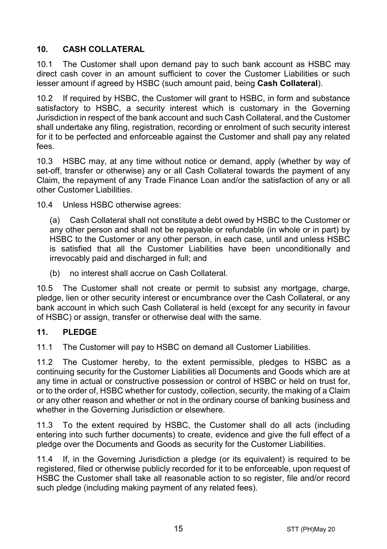# <span id="page-14-1"></span>**10. CASH COLLATERAL**

10.1 The Customer shall upon demand pay to such bank account as HSBC may direct cash cover in an amount sufficient to cover the Customer Liabilities or such lesser amount if agreed by HSBC (such amount paid, being **Cash Collateral**).

10.2 If required by HSBC, the Customer will grant to HSBC, in form and substance satisfactory to HSBC, a security interest which is customary in the Governing Jurisdiction in respect of the bank account and such Cash Collateral, and the Customer shall undertake any filing, registration, recording or enrolment of such security interest for it to be perfected and enforceable against the Customer and shall pay any related fees.

10.3 HSBC may, at any time without notice or demand, apply (whether by way of set-off, transfer or otherwise) any or all Cash Collateral towards the payment of any Claim, the repayment of any Trade Finance Loan and/or the satisfaction of any or all other Customer Liabilities.

10.4 Unless HSBC otherwise agrees:

(a) Cash Collateral shall not constitute a debt owed by HSBC to the Customer or any other person and shall not be repayable or refundable (in whole or in part) by HSBC to the Customer or any other person, in each case, until and unless HSBC is satisfied that all the Customer Liabilities have been unconditionally and irrevocably paid and discharged in full; and

(b) no interest shall accrue on Cash Collateral.

10.5 The Customer shall not create or permit to subsist any mortgage, charge, pledge, lien or other security interest or encumbrance over the Cash Collateral, or any bank account in which such Cash Collateral is held (except for any security in favour of HSBC) or assign, transfer or otherwise deal with the same.

#### <span id="page-14-0"></span>**11. PLEDGE**

11.1 The Customer will pay to HSBC on demand all Customer Liabilities.

11.2 The Customer hereby, to the extent permissible, pledges to HSBC as a continuing security for the Customer Liabilities all Documents and Goods which are at any time in actual or constructive possession or control of HSBC or held on trust for, or to the order of, HSBC whether for custody, collection, security, the making of a Claim or any other reason and whether or not in the ordinary course of banking business and whether in the Governing Jurisdiction or elsewhere.

11.3 To the extent required by HSBC, the Customer shall do all acts (including entering into such further documents) to create, evidence and give the full effect of a pledge over the Documents and Goods as security for the Customer Liabilities.

11.4 If, in the Governing Jurisdiction a pledge (or its equivalent) is required to be registered, filed or otherwise publicly recorded for it to be enforceable, upon request of HSBC the Customer shall take all reasonable action to so register, file and/or record such pledge (including making payment of any related fees).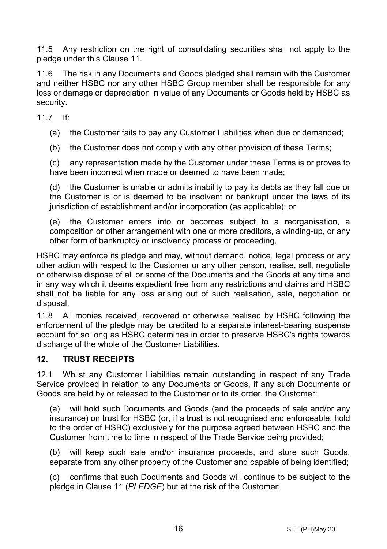11.5 Any restriction on the right of consolidating securities shall not apply to the pledge under this Clause [11.](#page-14-0)

11.6 The risk in any Documents and Goods pledged shall remain with the Customer and neither HSBC nor any other HSBC Group member shall be responsible for any loss or damage or depreciation in value of any Documents or Goods held by HSBC as security.

11.7 If:

(a) the Customer fails to pay any Customer Liabilities when due or demanded;

(b) the Customer does not comply with any other provision of these Terms;

(c) any representation made by the Customer under these Terms is or proves to have been incorrect when made or deemed to have been made;

(d) the Customer is unable or admits inability to pay its debts as they fall due or the Customer is or is deemed to be insolvent or bankrupt under the laws of its jurisdiction of establishment and/or incorporation (as applicable); or

(e) the Customer enters into or becomes subject to a reorganisation, a composition or other arrangement with one or more creditors, a winding-up, or any other form of bankruptcy or insolvency process or proceeding,

HSBC may enforce its pledge and may, without demand, notice, legal process or any other action with respect to the Customer or any other person, realise, sell, negotiate or otherwise dispose of all or some of the Documents and the Goods at any time and in any way which it deems expedient free from any restrictions and claims and HSBC shall not be liable for any loss arising out of such realisation, sale, negotiation or disposal.

11.8 All monies received, recovered or otherwise realised by HSBC following the enforcement of the pledge may be credited to a separate interest-bearing suspense account for so long as HSBC determines in order to preserve HSBC's rights towards discharge of the whole of the Customer Liabilities.

#### **12. TRUST RECEIPTS**

12.1 Whilst any Customer Liabilities remain outstanding in respect of any Trade Service provided in relation to any Documents or Goods, if any such Documents or Goods are held by or released to the Customer or to its order, the Customer:

(a) will hold such Documents and Goods (and the proceeds of sale and/or any insurance) on trust for HSBC (or, if a trust is not recognised and enforceable, hold to the order of HSBC) exclusively for the purpose agreed between HSBC and the Customer from time to time in respect of the Trade Service being provided;

(b) will keep such sale and/or insurance proceeds, and store such Goods, separate from any other property of the Customer and capable of being identified;

(c) confirms that such Documents and Goods will continue to be subject to the pledge in Claus[e 11](#page-14-0) (*[PLEDGE](#page-14-0)*) but at the risk of the Customer;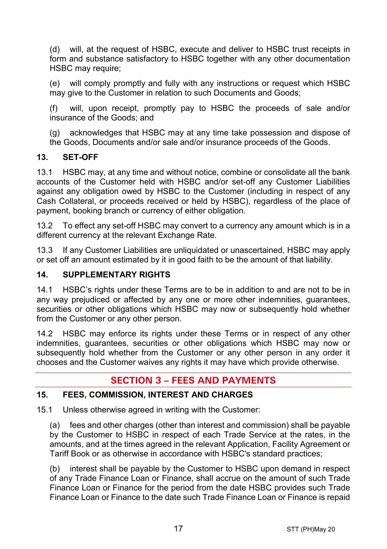(d) will, at the request of HSBC, execute and deliver to HSBC trust receipts in form and substance satisfactory to HSBC together with any other documentation HSBC may require:

(e) will comply promptly and fully with any instructions or request which HSBC may give to the Customer in relation to such Documents and Goods;

(f) will, upon receipt, promptly pay to HSBC the proceeds of sale and/or insurance of the Goods; and

(g) acknowledges that HSBC may at any time take possession and dispose of the Goods, Documents and/or sale and/or insurance proceeds of the Goods.

## **13. SET-OFF**

13.1 HSBC may, at any time and without notice, combine or consolidate all the bank accounts of the Customer held with HSBC and/or set-off any Customer Liabilities against any obligation owed by HSBC to the Customer (including in respect of any Cash Collateral, or proceeds received or held by HSBC), regardless of the place of payment, booking branch or currency of either obligation.

13.2 To effect any set-off HSBC may convert to a currency any amount which is in a different currency at the relevant Exchange Rate.

13.3 If any Customer Liabilities are unliquidated or unascertained, HSBC may apply or set off an amount estimated by it in good faith to be the amount of that liability.

#### **14. SUPPLEMENTARY RIGHTS**

14.1 HSBC's rights under these Terms are to be in addition to and are not to be in any way prejudiced or affected by any one or more other indemnities, guarantees, securities or other obligations which HSBC may now or subsequently hold whether from the Customer or any other person.

14.2 HSBC may enforce its rights under these Terms or in respect of any other indemnities, guarantees, securities or other obligations which HSBC may now or subsequently hold whether from the Customer or any other person in any order it chooses and the Customer waives any rights it may have which provide otherwise.

# **SECTION 3 – FEES AND PAYMENTS**

#### <span id="page-16-0"></span>**15. FEES, COMMISSION, INTEREST AND CHARGES**

15.1 Unless otherwise agreed in writing with the Customer:

(a) fees and other charges (other than interest and commission) shall be payable by the Customer to HSBC in respect of each Trade Service at the rates, in the amounts, and at the times agreed in the relevant Application, Facility Agreement or Tariff Book or as otherwise in accordance with HSBC's standard practices;

(b) interest shall be payable by the Customer to HSBC upon demand in respect of any Trade Finance Loan or Finance, shall accrue on the amount of such Trade Finance Loan or Finance for the period from the date HSBC provides such Trade Finance Loan or Finance to the date such Trade Finance Loan or Finance is repaid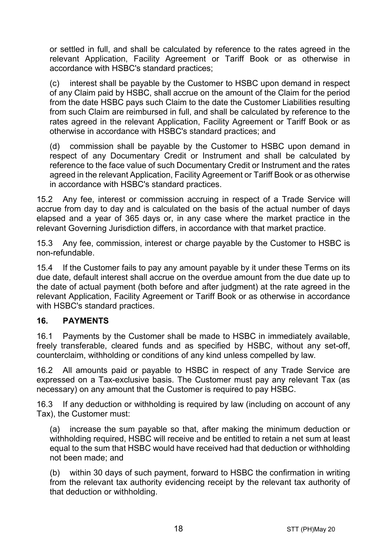or settled in full, and shall be calculated by reference to the rates agreed in the relevant Application, Facility Agreement or Tariff Book or as otherwise in accordance with HSBC's standard practices;

(c) interest shall be payable by the Customer to HSBC upon demand in respect of any Claim paid by HSBC, shall accrue on the amount of the Claim for the period from the date HSBC pays such Claim to the date the Customer Liabilities resulting from such Claim are reimbursed in full, and shall be calculated by reference to the rates agreed in the relevant Application, Facility Agreement or Tariff Book or as otherwise in accordance with HSBC's standard practices; and

(d) commission shall be payable by the Customer to HSBC upon demand in respect of any Documentary Credit or Instrument and shall be calculated by reference to the face value of such Documentary Credit or Instrument and the rates agreed in the relevant Application, Facility Agreement or Tariff Book or as otherwise in accordance with HSBC's standard practices.

15.2 Any fee, interest or commission accruing in respect of a Trade Service will accrue from day to day and is calculated on the basis of the actual number of days elapsed and a year of 365 days or, in any case where the market practice in the relevant Governing Jurisdiction differs, in accordance with that market practice.

15.3 Any fee, commission, interest or charge payable by the Customer to HSBC is non-refundable.

15.4 If the Customer fails to pay any amount payable by it under these Terms on its due date, default interest shall accrue on the overdue amount from the due date up to the date of actual payment (both before and after judgment) at the rate agreed in the relevant Application, Facility Agreement or Tariff Book or as otherwise in accordance with HSBC's standard practices.

#### **16. PAYMENTS**

16.1 Payments by the Customer shall be made to HSBC in immediately available, freely transferable, cleared funds and as specified by HSBC, without any set-off, counterclaim, withholding or conditions of any kind unless compelled by law.

16.2 All amounts paid or payable to HSBC in respect of any Trade Service are expressed on a Tax-exclusive basis. The Customer must pay any relevant Tax (as necessary) on any amount that the Customer is required to pay HSBC.

16.3 If any deduction or withholding is required by law (including on account of any Tax), the Customer must:

(a) increase the sum payable so that, after making the minimum deduction or withholding required, HSBC will receive and be entitled to retain a net sum at least equal to the sum that HSBC would have received had that deduction or withholding not been made; and

(b) within 30 days of such payment, forward to HSBC the confirmation in writing from the relevant tax authority evidencing receipt by the relevant tax authority of that deduction or withholding.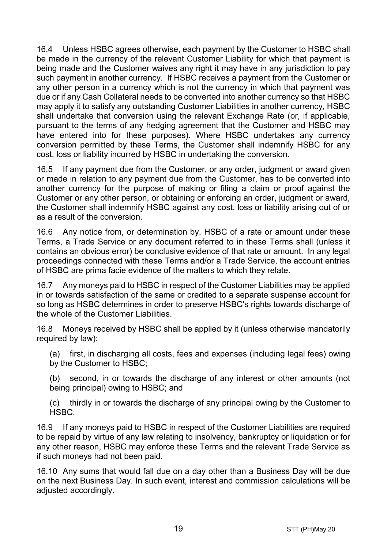16.4 Unless HSBC agrees otherwise, each payment by the Customer to HSBC shall be made in the currency of the relevant Customer Liability for which that payment is being made and the Customer waives any right it may have in any jurisdiction to pay such payment in another currency. If HSBC receives a payment from the Customer or any other person in a currency which is not the currency in which that payment was due or if any Cash Collateral needs to be converted into another currency so that HSBC may apply it to satisfy any outstanding Customer Liabilities in another currency, HSBC shall undertake that conversion using the relevant Exchange Rate (or, if applicable, pursuant to the terms of any hedging agreement that the Customer and HSBC may have entered into for these purposes). Where HSBC undertakes any currency conversion permitted by these Terms, the Customer shall indemnify HSBC for any cost, loss or liability incurred by HSBC in undertaking the conversion.

16.5 If any payment due from the Customer, or any order, judgment or award given or made in relation to any payment due from the Customer, has to be converted into another currency for the purpose of making or filing a claim or proof against the Customer or any other person, or obtaining or enforcing an order, judgment or award, the Customer shall indemnify HSBC against any cost, loss or liability arising out of or as a result of the conversion.

16.6 Any notice from, or determination by, HSBC of a rate or amount under these Terms, a Trade Service or any document referred to in these Terms shall (unless it contains an obvious error) be conclusive evidence of that rate or amount. In any legal proceedings connected with these Terms and/or a Trade Service, the account entries of HSBC are prima facie evidence of the matters to which they relate.

16.7 Any moneys paid to HSBC in respect of the Customer Liabilities may be applied in or towards satisfaction of the same or credited to a separate suspense account for so long as HSBC determines in order to preserve HSBC's rights towards discharge of the whole of the Customer Liabilities.

16.8 Moneys received by HSBC shall be applied by it (unless otherwise mandatorily required by law):

(a) first, in discharging all costs, fees and expenses (including legal fees) owing by the Customer to HSBC;

(b) second, in or towards the discharge of any interest or other amounts (not being principal) owing to HSBC; and

(c) thirdly in or towards the discharge of any principal owing by the Customer to HSBC.

16.9 If any moneys paid to HSBC in respect of the Customer Liabilities are required to be repaid by virtue of any law relating to insolvency, bankruptcy or liquidation or for any other reason, HSBC may enforce these Terms and the relevant Trade Service as if such moneys had not been paid.

16.10 Any sums that would fall due on a day other than a Business Day will be due on the next Business Day. In such event, interest and commission calculations will be adjusted accordingly.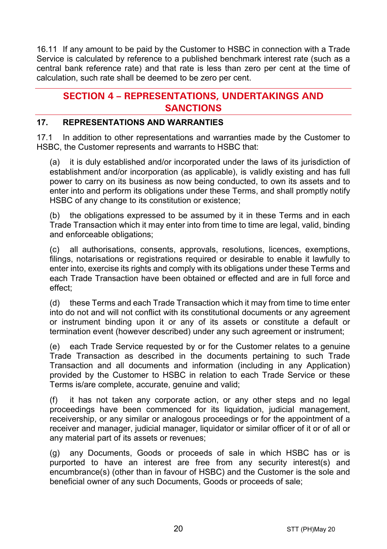16.11 If any amount to be paid by the Customer to HSBC in connection with a Trade Service is calculated by reference to a published benchmark interest rate (such as a central bank reference rate) and that rate is less than zero per cent at the time of calculation, such rate shall be deemed to be zero per cent.

# **SECTION 4 – REPRESENTATIONS, UNDERTAKINGS AND SANCTIONS**

#### **17. REPRESENTATIONS AND WARRANTIES**

17.1 In addition to other representations and warranties made by the Customer to HSBC, the Customer represents and warrants to HSBC that:

(a) it is duly established and/or incorporated under the laws of its jurisdiction of establishment and/or incorporation (as applicable), is validly existing and has full power to carry on its business as now being conducted, to own its assets and to enter into and perform its obligations under these Terms, and shall promptly notify HSBC of any change to its constitution or existence;

(b) the obligations expressed to be assumed by it in these Terms and in each Trade Transaction which it may enter into from time to time are legal, valid, binding and enforceable obligations;

(c) all authorisations, consents, approvals, resolutions, licences, exemptions, filings, notarisations or registrations required or desirable to enable it lawfully to enter into, exercise its rights and comply with its obligations under these Terms and each Trade Transaction have been obtained or effected and are in full force and effect;

(d) these Terms and each Trade Transaction which it may from time to time enter into do not and will not conflict with its constitutional documents or any agreement or instrument binding upon it or any of its assets or constitute a default or termination event (however described) under any such agreement or instrument;

(e) each Trade Service requested by or for the Customer relates to a genuine Trade Transaction as described in the documents pertaining to such Trade Transaction and all documents and information (including in any Application) provided by the Customer to HSBC in relation to each Trade Service or these Terms is/are complete, accurate, genuine and valid;

(f) it has not taken any corporate action, or any other steps and no legal proceedings have been commenced for its liquidation, judicial management, receivership, or any similar or analogous proceedings or for the appointment of a receiver and manager, judicial manager, liquidator or similar officer of it or of all or any material part of its assets or revenues;

(g) any Documents, Goods or proceeds of sale in which HSBC has or is purported to have an interest are free from any security interest(s) and encumbrance(s) (other than in favour of HSBC) and the Customer is the sole and beneficial owner of any such Documents, Goods or proceeds of sale;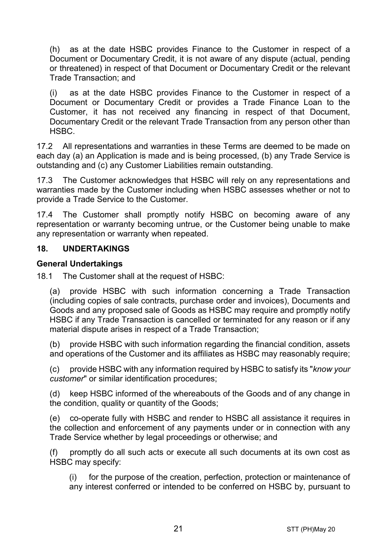(h) as at the date HSBC provides Finance to the Customer in respect of a Document or Documentary Credit, it is not aware of any dispute (actual, pending or threatened) in respect of that Document or Documentary Credit or the relevant Trade Transaction; and

(i) as at the date HSBC provides Finance to the Customer in respect of a Document or Documentary Credit or provides a Trade Finance Loan to the Customer, it has not received any financing in respect of that Document, Documentary Credit or the relevant Trade Transaction from any person other than HSBC.

17.2 All representations and warranties in these Terms are deemed to be made on each day (a) an Application is made and is being processed, (b) any Trade Service is outstanding and (c) any Customer Liabilities remain outstanding.

17.3 The Customer acknowledges that HSBC will rely on any representations and warranties made by the Customer including when HSBC assesses whether or not to provide a Trade Service to the Customer.

17.4 The Customer shall promptly notify HSBC on becoming aware of any representation or warranty becoming untrue, or the Customer being unable to make any representation or warranty when repeated.

#### **18. UNDERTAKINGS**

#### **General Undertakings**

18.1 The Customer shall at the request of HSBC:

(a) provide HSBC with such information concerning a Trade Transaction (including copies of sale contracts, purchase order and invoices), Documents and Goods and any proposed sale of Goods as HSBC may require and promptly notify HSBC if any Trade Transaction is cancelled or terminated for any reason or if any material dispute arises in respect of a Trade Transaction;

(b) provide HSBC with such information regarding the financial condition, assets and operations of the Customer and its affiliates as HSBC may reasonably require;

(c) provide HSBC with any information required by HSBC to satisfy its "*know your customer*" or similar identification procedures;

(d) keep HSBC informed of the whereabouts of the Goods and of any change in the condition, quality or quantity of the Goods;

(e) co-operate fully with HSBC and render to HSBC all assistance it requires in the collection and enforcement of any payments under or in connection with any Trade Service whether by legal proceedings or otherwise; and

(f) promptly do all such acts or execute all such documents at its own cost as HSBC may specify:

(i) for the purpose of the creation, perfection, protection or maintenance of any interest conferred or intended to be conferred on HSBC by, pursuant to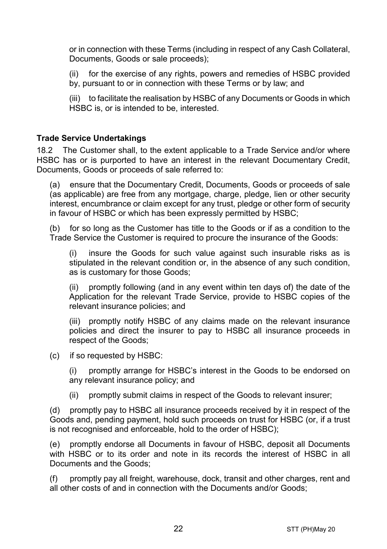or in connection with these Terms (including in respect of any Cash Collateral, Documents, Goods or sale proceeds);

(ii) for the exercise of any rights, powers and remedies of HSBC provided by, pursuant to or in connection with these Terms or by law; and

(iii) to facilitate the realisation by HSBC of any Documents or Goods in which HSBC is, or is intended to be, interested.

#### **Trade Service Undertakings**

18.2 The Customer shall, to the extent applicable to a Trade Service and/or where HSBC has or is purported to have an interest in the relevant Documentary Credit, Documents, Goods or proceeds of sale referred to:

(a) ensure that the Documentary Credit, Documents, Goods or proceeds of sale (as applicable) are free from any mortgage, charge, pledge, lien or other security interest, encumbrance or claim except for any trust, pledge or other form of security in favour of HSBC or which has been expressly permitted by HSBC;

(b) for so long as the Customer has title to the Goods or if as a condition to the Trade Service the Customer is required to procure the insurance of the Goods:

(i) insure the Goods for such value against such insurable risks as is stipulated in the relevant condition or, in the absence of any such condition, as is customary for those Goods;

(ii) promptly following (and in any event within ten days of) the date of the Application for the relevant Trade Service, provide to HSBC copies of the relevant insurance policies; and

(iii) promptly notify HSBC of any claims made on the relevant insurance policies and direct the insurer to pay to HSBC all insurance proceeds in respect of the Goods;

(c) if so requested by HSBC:

(i) promptly arrange for HSBC's interest in the Goods to be endorsed on any relevant insurance policy; and

(ii) promptly submit claims in respect of the Goods to relevant insurer;

(d) promptly pay to HSBC all insurance proceeds received by it in respect of the Goods and, pending payment, hold such proceeds on trust for HSBC (or, if a trust is not recognised and enforceable, hold to the order of HSBC);

(e) promptly endorse all Documents in favour of HSBC, deposit all Documents with HSBC or to its order and note in its records the interest of HSBC in all Documents and the Goods;

(f) promptly pay all freight, warehouse, dock, transit and other charges, rent and all other costs of and in connection with the Documents and/or Goods;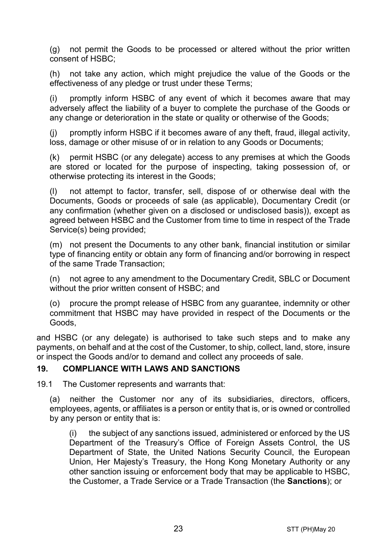(g) not permit the Goods to be processed or altered without the prior written consent of HSBC;

(h) not take any action, which might prejudice the value of the Goods or the effectiveness of any pledge or trust under these Terms;

(i) promptly inform HSBC of any event of which it becomes aware that may adversely affect the liability of a buyer to complete the purchase of the Goods or any change or deterioration in the state or quality or otherwise of the Goods;

(j) promptly inform HSBC if it becomes aware of any theft, fraud, illegal activity, loss, damage or other misuse of or in relation to any Goods or Documents;

(k) permit HSBC (or any delegate) access to any premises at which the Goods are stored or located for the purpose of inspecting, taking possession of, or otherwise protecting its interest in the Goods;

(l) not attempt to factor, transfer, sell, dispose of or otherwise deal with the Documents, Goods or proceeds of sale (as applicable), Documentary Credit (or any confirmation (whether given on a disclosed or undisclosed basis)), except as agreed between HSBC and the Customer from time to time in respect of the Trade Service(s) being provided;

(m) not present the Documents to any other bank, financial institution or similar type of financing entity or obtain any form of financing and/or borrowing in respect of the same Trade Transaction;

(n) not agree to any amendment to the Documentary Credit, SBLC or Document without the prior written consent of HSBC; and

(o) procure the prompt release of HSBC from any guarantee, indemnity or other commitment that HSBC may have provided in respect of the Documents or the Goods,

and HSBC (or any delegate) is authorised to take such steps and to make any payments, on behalf and at the cost of the Customer, to ship, collect, land, store, insure or inspect the Goods and/or to demand and collect any proceeds of sale.

#### <span id="page-22-0"></span>**19. COMPLIANCE WITH LAWS AND SANCTIONS**

19.1 The Customer represents and warrants that:

(a) neither the Customer nor any of its subsidiaries, directors, officers, employees, agents, or affiliates is a person or entity that is, or is owned or controlled by any person or entity that is:

(i) the subject of any sanctions issued, administered or enforced by the US Department of the Treasury's Office of Foreign Assets Control, the US Department of State, the United Nations Security Council, the European Union, Her Majesty's Treasury, the Hong Kong Monetary Authority or any other sanction issuing or enforcement body that may be applicable to HSBC, the Customer, a Trade Service or a Trade Transaction (the **Sanctions**); or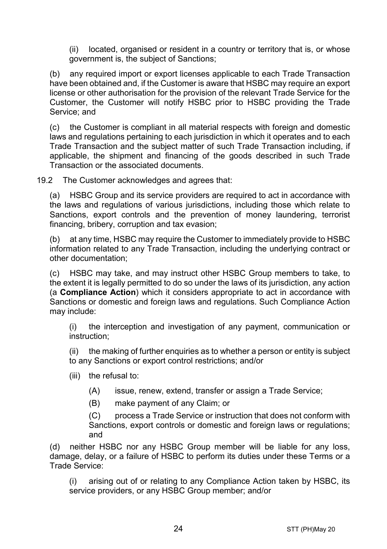(ii) located, organised or resident in a country or territory that is, or whose government is, the subject of Sanctions;

(b) any required import or export licenses applicable to each Trade Transaction have been obtained and, if the Customer is aware that HSBC may require an export license or other authorisation for the provision of the relevant Trade Service for the Customer, the Customer will notify HSBC prior to HSBC providing the Trade Service; and

(c) the Customer is compliant in all material respects with foreign and domestic laws and regulations pertaining to each jurisdiction in which it operates and to each Trade Transaction and the subject matter of such Trade Transaction including, if applicable, the shipment and financing of the goods described in such Trade Transaction or the associated documents.

19.2 The Customer acknowledges and agrees that:

(a) HSBC Group and its service providers are required to act in accordance with the laws and regulations of various jurisdictions, including those which relate to Sanctions, export controls and the prevention of money laundering, terrorist financing, bribery, corruption and tax evasion;

(b) at any time, HSBC may require the Customer to immediately provide to HSBC information related to any Trade Transaction, including the underlying contract or other documentation;

(c) HSBC may take, and may instruct other HSBC Group members to take, to the extent it is legally permitted to do so under the laws of its jurisdiction, any action (a **Compliance Action**) which it considers appropriate to act in accordance with Sanctions or domestic and foreign laws and regulations. Such Compliance Action may include:

(i) the interception and investigation of any payment, communication or instruction;

(ii) the making of further enquiries as to whether a person or entity is subject to any Sanctions or export control restrictions; and/or

- (iii) the refusal to:
	- (A) issue, renew, extend, transfer or assign a Trade Service;
	- (B) make payment of any Claim; or

(C) process a Trade Service or instruction that does not conform with Sanctions, export controls or domestic and foreign laws or regulations; and

(d) neither HSBC nor any HSBC Group member will be liable for any loss, damage, delay, or a failure of HSBC to perform its duties under these Terms or a Trade Service:

(i) arising out of or relating to any Compliance Action taken by HSBC, its service providers, or any HSBC Group member; and/or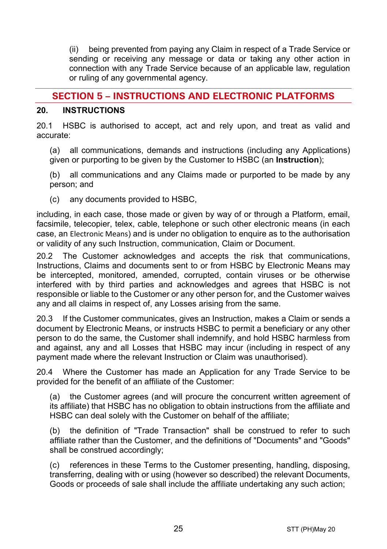(ii) being prevented from paying any Claim in respect of a Trade Service or sending or receiving any message or data or taking any other action in connection with any Trade Service because of an applicable law, regulation or ruling of any governmental agency.

# **SECTION 5 – INSTRUCTIONS AND ELECTRONIC PLATFORMS**

#### <span id="page-24-0"></span>**20. INSTRUCTIONS**

20.1 HSBC is authorised to accept, act and rely upon, and treat as valid and accurate:

(a) all communications, demands and instructions (including any Applications) given or purporting to be given by the Customer to HSBC (an **Instruction**);

(b) all communications and any Claims made or purported to be made by any person; and

(c) any documents provided to HSBC,

including, in each case, those made or given by way of or through a Platform, email, facsimile, telecopier, telex, cable, telephone or such other electronic means (in each case, an Electronic Means) and is under no obligation to enquire as to the authorisation or validity of any such Instruction, communication, Claim or Document.

20.2 The Customer acknowledges and accepts the risk that communications, Instructions, Claims and documents sent to or from HSBC by Electronic Means may be intercepted, monitored, amended, corrupted, contain viruses or be otherwise interfered with by third parties and acknowledges and agrees that HSBC is not responsible or liable to the Customer or any other person for, and the Customer waives any and all claims in respect of, any Losses arising from the same.

20.3 If the Customer communicates, gives an Instruction, makes a Claim or sends a document by Electronic Means, or instructs HSBC to permit a beneficiary or any other person to do the same, the Customer shall indemnify, and hold HSBC harmless from and against, any and all Losses that HSBC may incur (including in respect of any payment made where the relevant Instruction or Claim was unauthorised).

20.4 Where the Customer has made an Application for any Trade Service to be provided for the benefit of an affiliate of the Customer:

(a) the Customer agrees (and will procure the concurrent written agreement of its affiliate) that HSBC has no obligation to obtain instructions from the affiliate and HSBC can deal solely with the Customer on behalf of the affiliate;

(b) the definition of "Trade Transaction" shall be construed to refer to such affiliate rather than the Customer, and the definitions of "Documents" and "Goods" shall be construed accordingly;

(c) references in these Terms to the Customer presenting, handling, disposing, transferring, dealing with or using (however so described) the relevant Documents, Goods or proceeds of sale shall include the affiliate undertaking any such action;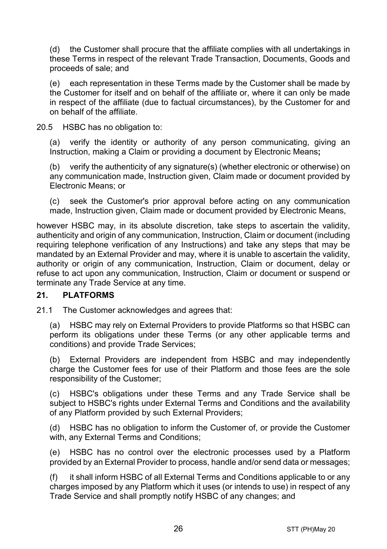(d) the Customer shall procure that the affiliate complies with all undertakings in these Terms in respect of the relevant Trade Transaction, Documents, Goods and proceeds of sale; and

(e) each representation in these Terms made by the Customer shall be made by the Customer for itself and on behalf of the affiliate or, where it can only be made in respect of the affiliate (due to factual circumstances), by the Customer for and on behalf of the affiliate.

20.5 HSBC has no obligation to:

(a) verify the identity or authority of any person communicating, giving an Instruction, making a Claim or providing a document by Electronic Means**;**

(b) verify the authenticity of any signature(s) (whether electronic or otherwise) on any communication made, Instruction given, Claim made or document provided by Electronic Means; or

(c) seek the Customer's prior approval before acting on any communication made, Instruction given, Claim made or document provided by Electronic Means,

however HSBC may, in its absolute discretion, take steps to ascertain the validity, authenticity and origin of any communication, Instruction, Claim or document (including requiring telephone verification of any Instructions) and take any steps that may be mandated by an External Provider and may, where it is unable to ascertain the validity, authority or origin of any communication, Instruction, Claim or document, delay or refuse to act upon any communication, Instruction, Claim or document or suspend or terminate any Trade Service at any time.

#### **21. PLATFORMS**

21.1 The Customer acknowledges and agrees that:

(a) HSBC may rely on External Providers to provide Platforms so that HSBC can perform its obligations under these Terms (or any other applicable terms and conditions) and provide Trade Services;

(b) External Providers are independent from HSBC and may independently charge the Customer fees for use of their Platform and those fees are the sole responsibility of the Customer;

(c) HSBC's obligations under these Terms and any Trade Service shall be subject to HSBC's rights under External Terms and Conditions and the availability of any Platform provided by such External Providers;

(d) HSBC has no obligation to inform the Customer of, or provide the Customer with, any External Terms and Conditions;

(e) HSBC has no control over the electronic processes used by a Platform provided by an External Provider to process, handle and/or send data or messages;

(f) it shall inform HSBC of all External Terms and Conditions applicable to or any charges imposed by any Platform which it uses (or intends to use) in respect of any Trade Service and shall promptly notify HSBC of any changes; and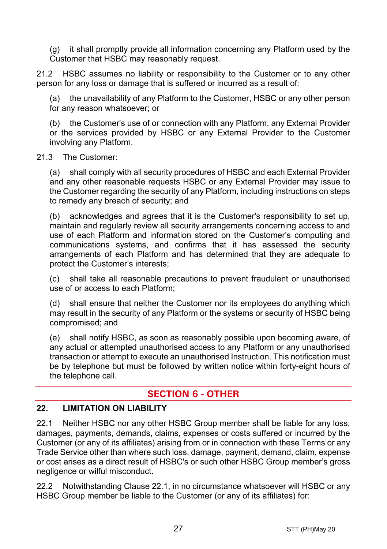(g) it shall promptly provide all information concerning any Platform used by the Customer that HSBC may reasonably request.

21.2 HSBC assumes no liability or responsibility to the Customer or to any other person for any loss or damage that is suffered or incurred as a result of:

the unavailability of any Platform to the Customer, HSBC or any other person for any reason whatsoever; or

(b) the Customer's use of or connection with any Platform, any External Provider or the services provided by HSBC or any External Provider to the Customer involving any Platform.

#### 21.3 The Customer:

(a) shall comply with all security procedures of HSBC and each External Provider and any other reasonable requests HSBC or any External Provider may issue to the Customer regarding the security of any Platform, including instructions on steps to remedy any breach of security; and

(b) acknowledges and agrees that it is the Customer's responsibility to set up, maintain and regularly review all security arrangements concerning access to and use of each Platform and information stored on the Customer's computing and communications systems, and confirms that it has assessed the security arrangements of each Platform and has determined that they are adequate to protect the Customer's interests;

(c) shall take all reasonable precautions to prevent fraudulent or unauthorised use of or access to each Platform;

(d) shall ensure that neither the Customer nor its employees do anything which may result in the security of any Platform or the systems or security of HSBC being compromised; and

(e) shall notify HSBC, as soon as reasonably possible upon becoming aware, of any actual or attempted unauthorised access to any Platform or any unauthorised transaction or attempt to execute an unauthorised Instruction. This notification must be by telephone but must be followed by written notice within forty-eight hours of the telephone call.

# **SECTION 6 - OTHER**

#### **22. LIMITATION ON LIABILITY**

<span id="page-26-0"></span>22.1 Neither HSBC nor any other HSBC Group member shall be liable for any loss, damages, payments, demands, claims, expenses or costs suffered or incurred by the Customer (or any of its affiliates) arising from or in connection with these Terms or any Trade Service other than where such loss, damage, payment, demand, claim, expense or cost arises as a direct result of HSBC's or such other HSBC Group member's gross negligence or wilful misconduct.

<span id="page-26-1"></span>22.2 Notwithstanding Clause [22.1,](#page-26-0) in no circumstance whatsoever will HSBC or any HSBC Group member be liable to the Customer (or any of its affiliates) for: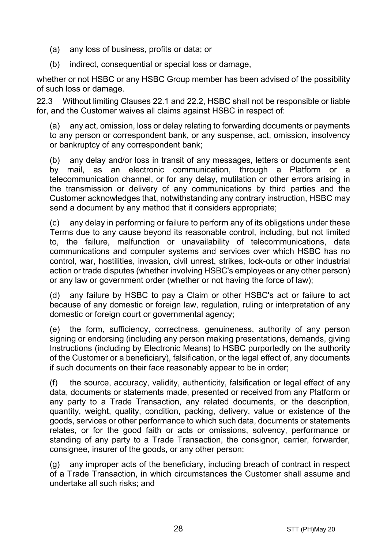- (a) any loss of business, profits or data; or
- (b) indirect, consequential or special loss or damage,

whether or not HSBC or any HSBC Group member has been advised of the possibility of such loss or damage.

22.3 Without limiting Clauses [22.1](#page-26-0) and [22.2,](#page-26-1) HSBC shall not be responsible or liable for, and the Customer waives all claims against HSBC in respect of:

(a) any act, omission, loss or delay relating to forwarding documents or payments to any person or correspondent bank, or any suspense, act, omission, insolvency or bankruptcy of any correspondent bank;

(b) any delay and/or loss in transit of any messages, letters or documents sent by mail, as an electronic communication, through a Platform or a telecommunication channel, or for any delay, mutilation or other errors arising in the transmission or delivery of any communications by third parties and the Customer acknowledges that, notwithstanding any contrary instruction, HSBC may send a document by any method that it considers appropriate;

(c) any delay in performing or failure to perform any of its obligations under these Terms due to any cause beyond its reasonable control, including, but not limited to, the failure, malfunction or unavailability of telecommunications, data communications and computer systems and services over which HSBC has no control, war, hostilities, invasion, civil unrest, strikes, lock-outs or other industrial action or trade disputes (whether involving HSBC's employees or any other person) or any law or government order (whether or not having the force of law);

(d) any failure by HSBC to pay a Claim or other HSBC's act or failure to act because of any domestic or foreign law, regulation, ruling or interpretation of any domestic or foreign court or governmental agency;

(e) the form, sufficiency, correctness, genuineness, authority of any person signing or endorsing (including any person making presentations, demands, giving Instructions (including by Electronic Means) to HSBC purportedly on the authority of the Customer or a beneficiary), falsification, or the legal effect of, any documents if such documents on their face reasonably appear to be in order;

(f) the source, accuracy, validity, authenticity, falsification or legal effect of any data, documents or statements made, presented or received from any Platform or any party to a Trade Transaction, any related documents, or the description, quantity, weight, quality, condition, packing, delivery, value or existence of the goods, services or other performance to which such data, documents or statements relates, or for the good faith or acts or omissions, solvency, performance or standing of any party to a Trade Transaction, the consignor, carrier, forwarder, consignee, insurer of the goods, or any other person;

(g) any improper acts of the beneficiary, including breach of contract in respect of a Trade Transaction, in which circumstances the Customer shall assume and undertake all such risks; and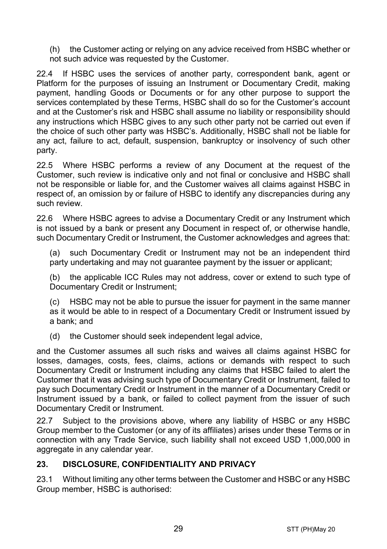(h) the Customer acting or relying on any advice received from HSBC whether or not such advice was requested by the Customer.

22.4 If HSBC uses the services of another party, correspondent bank, agent or Platform for the purposes of issuing an Instrument or Documentary Credit, making payment, handling Goods or Documents or for any other purpose to support the services contemplated by these Terms, HSBC shall do so for the Customer's account and at the Customer's risk and HSBC shall assume no liability or responsibility should any instructions which HSBC gives to any such other party not be carried out even if the choice of such other party was HSBC's. Additionally, HSBC shall not be liable for any act, failure to act, default, suspension, bankruptcy or insolvency of such other party.

22.5 Where HSBC performs a review of any Document at the request of the Customer, such review is indicative only and not final or conclusive and HSBC shall not be responsible or liable for, and the Customer waives all claims against HSBC in respect of, an omission by or failure of HSBC to identify any discrepancies during any such review.

22.6 Where HSBC agrees to advise a Documentary Credit or any Instrument which is not issued by a bank or present any Document in respect of, or otherwise handle, such Documentary Credit or Instrument, the Customer acknowledges and agrees that:

(a) such Documentary Credit or Instrument may not be an independent third party undertaking and may not quarantee payment by the issuer or applicant;

(b) the applicable ICC Rules may not address, cover or extend to such type of Documentary Credit or Instrument;

(c) HSBC may not be able to pursue the issuer for payment in the same manner as it would be able to in respect of a Documentary Credit or Instrument issued by a bank; and

(d) the Customer should seek independent legal advice,

and the Customer assumes all such risks and waives all claims against HSBC for losses, damages, costs, fees, claims, actions or demands with respect to such Documentary Credit or Instrument including any claims that HSBC failed to alert the Customer that it was advising such type of Documentary Credit or Instrument, failed to pay such Documentary Credit or Instrument in the manner of a Documentary Credit or Instrument issued by a bank, or failed to collect payment from the issuer of such Documentary Credit or Instrument.

22.7 Subject to the provisions above, where any liability of HSBC or any HSBC Group member to the Customer (or any of its affiliates) arises under these Terms or in connection with any Trade Service, such liability shall not exceed USD 1,000,000 in aggregate in any calendar year.

#### <span id="page-28-0"></span>**23. DISCLOSURE, CONFIDENTIALITY AND PRIVACY**

23.1 Without limiting any other terms between the Customer and HSBC or any HSBC Group member, HSBC is authorised: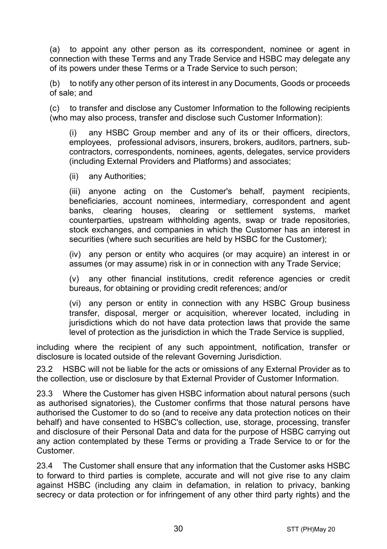<span id="page-29-0"></span>(a) to appoint any other person as its correspondent, nominee or agent in connection with these Terms and any Trade Service and HSBC may delegate any of its powers under these Terms or a Trade Service to such person;

(b) to notify any other person of its interest in any Documents, Goods or proceeds of sale; and

(c) to transfer and disclose any Customer Information to the following recipients (who may also process, transfer and disclose such Customer Information):

(i) any HSBC Group member and any of its or their officers, directors, employees, professional advisors, insurers, brokers, auditors, partners, subcontractors, correspondents, nominees, agents, delegates, service providers (including External Providers and Platforms) and associates;

(ii) any Authorities;

(iii) anyone acting on the Customer's behalf, payment recipients, beneficiaries, account nominees, intermediary, correspondent and agent banks, clearing houses, clearing or settlement systems, market counterparties, upstream withholding agents, swap or trade repositories, stock exchanges, and companies in which the Customer has an interest in securities (where such securities are held by HSBC for the Customer);

(iv) any person or entity who acquires (or may acquire) an interest in or assumes (or may assume) risk in or in connection with any Trade Service;

(v) any other financial institutions, credit reference agencies or credit bureaus, for obtaining or providing credit references; and/or

(vi) any person or entity in connection with any HSBC Group business transfer, disposal, merger or acquisition, wherever located, including in jurisdictions which do not have data protection laws that provide the same level of protection as the jurisdiction in which the Trade Service is supplied,

including where the recipient of any such appointment, notification, transfer or disclosure is located outside of the relevant Governing Jurisdiction.

23.2 HSBC will not be liable for the acts or omissions of any External Provider as to the collection, use or disclosure by that External Provider of Customer Information.

23.3 Where the Customer has given HSBC information about natural persons (such as authorised signatories), the Customer confirms that those natural persons have authorised the Customer to do so (and to receive any data protection notices on their behalf) and have consented to HSBC's collection, use, storage, processing, transfer and disclosure of their Personal Data and data for the purpose of HSBC carrying out any action contemplated by these Terms or providing a Trade Service to or for the Customer.

23.4 The Customer shall ensure that any information that the Customer asks HSBC to forward to third parties is complete, accurate and will not give rise to any claim against HSBC (including any claim in defamation, in relation to privacy, banking secrecy or data protection or for infringement of any other third party rights) and the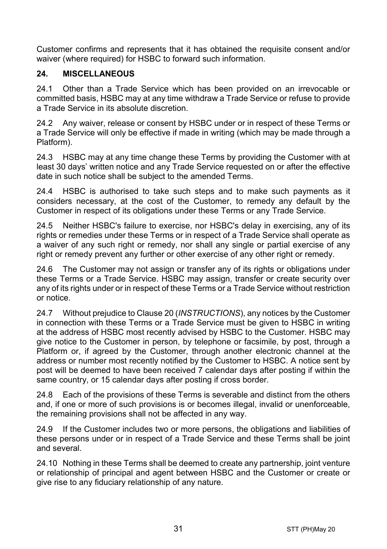Customer confirms and represents that it has obtained the requisite consent and/or waiver (where required) for HSBC to forward such information.

## **24. MISCELLANEOUS**

24.1 Other than a Trade Service which has been provided on an irrevocable or committed basis, HSBC may at any time withdraw a Trade Service or refuse to provide a Trade Service in its absolute discretion.

24.2 Any waiver, release or consent by HSBC under or in respect of these Terms or a Trade Service will only be effective if made in writing (which may be made through a Platform).

24.3 HSBC may at any time change these Terms by providing the Customer with at least 30 days' written notice and any Trade Service requested on or after the effective date in such notice shall be subject to the amended Terms.

24.4 HSBC is authorised to take such steps and to make such payments as it considers necessary, at the cost of the Customer, to remedy any default by the Customer in respect of its obligations under these Terms or any Trade Service.

24.5 Neither HSBC's failure to exercise, nor HSBC's delay in exercising, any of its rights or remedies under these Terms or in respect of a Trade Service shall operate as a waiver of any such right or remedy, nor shall any single or partial exercise of any right or remedy prevent any further or other exercise of any other right or remedy.

24.6 The Customer may not assign or transfer any of its rights or obligations under these Terms or a Trade Service. HSBC may assign, transfer or create security over any of its rights under or in respect of these Terms or a Trade Service without restriction or notice.

24.7 Without prejudice to Claus[e 20](#page-24-0) (*[INSTRUCTIONS](#page-24-0)*), any notices by the Customer in connection with these Terms or a Trade Service must be given to HSBC in writing at the address of HSBC most recently advised by HSBC to the Customer. HSBC may give notice to the Customer in person, by telephone or facsimile, by post, through a Platform or, if agreed by the Customer, through another electronic channel at the address or number most recently notified by the Customer to HSBC. A notice sent by post will be deemed to have been received 7 calendar days after posting if within the same country, or 15 calendar days after posting if cross border.

24.8 Each of the provisions of these Terms is severable and distinct from the others and, if one or more of such provisions is or becomes illegal, invalid or unenforceable, the remaining provisions shall not be affected in any way.

24.9 If the Customer includes two or more persons, the obligations and liabilities of these persons under or in respect of a Trade Service and these Terms shall be joint and several.

24.10 Nothing in these Terms shall be deemed to create any partnership, joint venture or relationship of principal and agent between HSBC and the Customer or create or give rise to any fiduciary relationship of any nature.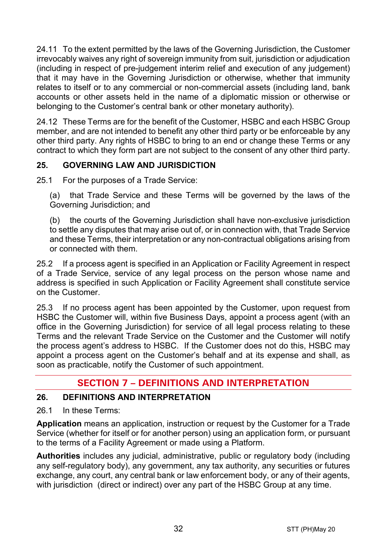24.11 To the extent permitted by the laws of the Governing Jurisdiction, the Customer irrevocably waives any right of sovereign immunity from suit, jurisdiction or adjudication (including in respect of pre-judgement interim relief and execution of any judgement) that it may have in the Governing Jurisdiction or otherwise, whether that immunity relates to itself or to any commercial or non-commercial assets (including land, bank accounts or other assets held in the name of a diplomatic mission or otherwise or belonging to the Customer's central bank or other monetary authority).

24.12 These Terms are for the benefit of the Customer, HSBC and each HSBC Group member, and are not intended to benefit any other third party or be enforceable by any other third party. Any rights of HSBC to bring to an end or change these Terms or any contract to which they form part are not subject to the consent of any other third party.

# **25. GOVERNING LAW AND JURISDICTION**

25.1 For the purposes of a Trade Service:

(a) that Trade Service and these Terms will be governed by the laws of the Governing Jurisdiction; and

(b) the courts of the Governing Jurisdiction shall have non-exclusive jurisdiction to settle any disputes that may arise out of, or in connection with, that Trade Service and these Terms, their interpretation or any non-contractual obligations arising from or connected with them.

25.2 If a process agent is specified in an Application or Facility Agreement in respect of a Trade Service, service of any legal process on the person whose name and address is specified in such Application or Facility Agreement shall constitute service on the Customer.

25.3 If no process agent has been appointed by the Customer, upon request from HSBC the Customer will, within five Business Days, appoint a process agent (with an office in the Governing Jurisdiction) for service of all legal process relating to these Terms and the relevant Trade Service on the Customer and the Customer will notify the process agent's address to HSBC. If the Customer does not do this, HSBC may appoint a process agent on the Customer's behalf and at its expense and shall, as soon as practicable, notify the Customer of such appointment.

# **SECTION 7 – DEFINITIONS AND INTERPRETATION**

#### **26. DEFINITIONS AND INTERPRETATION**

26.1 In these Terms:

**Application** means an application, instruction or request by the Customer for a Trade Service (whether for itself or for another person) using an application form, or pursuant to the terms of a Facility Agreement or made using a Platform.

**Authorities** includes any judicial, administrative, public or regulatory body (including any self-regulatory body), any government, any tax authority, any securities or futures exchange, any court, any central bank or law enforcement body, or any of their agents, with jurisdiction (direct or indirect) over any part of the HSBC Group at any time.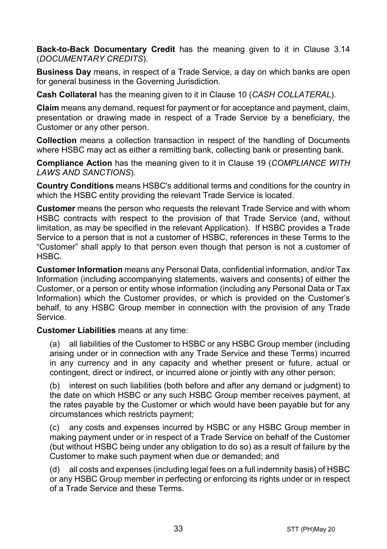**Back-to-Back Documentary Credit** has the meaning given to it in Clause [3.14](#page-5-0) (*[DOCUMENTARY CREDITS](#page-3-0)*).

**Business Day** means, in respect of a Trade Service, a day on which banks are open for general business in the Governing Jurisdiction.

**Cash Collateral** has the meaning given to it in Clause [10](#page-14-1) (*[CASH COLLATERAL](#page-14-1)*).

**Claim** means any demand, request for payment or for acceptance and payment, claim, presentation or drawing made in respect of a Trade Service by a beneficiary, the Customer or any other person.

**Collection** means a collection transaction in respect of the handling of Documents where HSBC may act as either a remitting bank, collecting bank or presenting bank.

**Compliance Action** has the meaning given to it in Clause [19](#page-22-0) (*[COMPLIANCE WITH](#page-22-0)  [LAWS AND SANCTIONS](#page-22-0)*).

**Country Conditions** means HSBC's additional terms and conditions for the country in which the HSBC entity providing the relevant Trade Service is located.

**Customer** means the person who requests the relevant Trade Service and with whom HSBC contracts with respect to the provision of that Trade Service (and, without limitation, as may be specified in the relevant Application). If HSBC provides a Trade Service to a person that is not a customer of HSBC, references in these Terms to the "Customer" shall apply to that person even though that person is not a customer of HSBC.

**Customer Information** means any Personal Data, confidential information, and/or Tax Information (including accompanying statements, waivers and consents) of either the Customer, or a person or entity whose information (including any Personal Data or Tax Information) which the Customer provides, or which is provided on the Customer's behalf, to any HSBC Group member in connection with the provision of any Trade Service.

**Customer Liabilities** means at any time:

(a) all liabilities of the Customer to HSBC or any HSBC Group member (including arising under or in connection with any Trade Service and these Terms) incurred in any currency and in any capacity and whether present or future, actual or contingent, direct or indirect, or incurred alone or jointly with any other person;

(b) interest on such liabilities (both before and after any demand or judgment) to the date on which HSBC or any such HSBC Group member receives payment, at the rates payable by the Customer or which would have been payable but for any circumstances which restricts payment;

(c) any costs and expenses incurred by HSBC or any HSBC Group member in making payment under or in respect of a Trade Service on behalf of the Customer (but without HSBC being under any obligation to do so) as a result of failure by the Customer to make such payment when due or demanded; and

(d) all costs and expenses (including legal fees on a full indemnity basis) of HSBC or any HSBC Group member in perfecting or enforcing its rights under or in respect of a Trade Service and these Terms.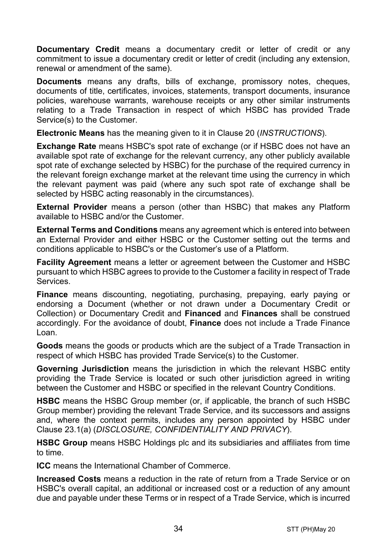**Documentary Credit** means a documentary credit or letter of credit or any commitment to issue a documentary credit or letter of credit (including any extension. renewal or amendment of the same).

**Documents** means any drafts, bills of exchange, promissory notes, cheques, documents of title, certificates, invoices, statements, transport documents, insurance policies, warehouse warrants, warehouse receipts or any other similar instruments relating to a Trade Transaction in respect of which HSBC has provided Trade Service(s) to the Customer.

**Electronic Means** has the meaning given to it in Clause [20](#page-24-0) (*[INSTRUCTIONS](#page-24-0)*).

**Exchange Rate** means HSBC's spot rate of exchange (or if HSBC does not have an available spot rate of exchange for the relevant currency, any other publicly available spot rate of exchange selected by HSBC) for the purchase of the required currency in the relevant foreign exchange market at the relevant time using the currency in which the relevant payment was paid (where any such spot rate of exchange shall be selected by HSBC acting reasonably in the circumstances).

**External Provider** means a person (other than HSBC) that makes any Platform available to HSBC and/or the Customer.

**External Terms and Conditions** means any agreement which is entered into between an External Provider and either HSBC or the Customer setting out the terms and conditions applicable to HSBC's or the Customer's use of a Platform.

**Facility Agreement** means a letter or agreement between the Customer and HSBC pursuant to which HSBC agrees to provide to the Customer a facility in respect of Trade Services.

**Finance** means discounting, negotiating, purchasing, prepaying, early paying or endorsing a Document (whether or not drawn under a Documentary Credit or Collection) or Documentary Credit and **Financed** and **Finances** shall be construed accordingly. For the avoidance of doubt, **Finance** does not include a Trade Finance Loan.

**Goods** means the goods or products which are the subject of a Trade Transaction in respect of which HSBC has provided Trade Service(s) to the Customer.

**Governing Jurisdiction** means the jurisdiction in which the relevant HSBC entity providing the Trade Service is located or such other jurisdiction agreed in writing between the Customer and HSBC or specified in the relevant Country Conditions.

**HSBC** means the HSBC Group member (or, if applicable, the branch of such HSBC Group member) providing the relevant Trade Service, and its successors and assigns and, where the context permits, includes any person appointed by HSBC under Clause [23.1\(a\)](#page-29-0) (*[DISCLOSURE, CONFIDENTIALITY AND PRIVACY](#page-28-0)*).

**HSBC Group** means HSBC Holdings plc and its subsidiaries and affiliates from time to time.

**ICC** means the International Chamber of Commerce.

**Increased Costs** means a reduction in the rate of return from a Trade Service or on HSBC's overall capital, an additional or increased cost or a reduction of any amount due and payable under these Terms or in respect of a Trade Service, which is incurred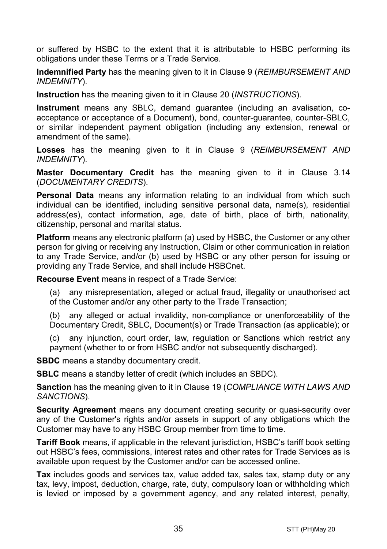or suffered by HSBC to the extent that it is attributable to HSBC performing its obligations under these Terms or a Trade Service.

**Indemnified Party** has the meaning given to it in Claus[e 9](#page-13-0) (*[REIMBURSEMENT AND](#page-13-0)  [INDEMNITY](#page-13-0)*).

**Instruction** has the meaning given to it in Clause [20](#page-24-0) (*[INSTRUCTIONS](#page-24-0)*).

**Instrument** means any SBLC, demand guarantee (including an avalisation, coacceptance or acceptance of a Document), bond, counter-guarantee, counter-SBLC, or similar independent payment obligation (including any extension, renewal or amendment of the same).

**Losses** has the meaning given to it in Clause [9](#page-13-0) (*[REIMBURSEMENT AND](#page-13-0)  [INDEMNITY](#page-13-0)*).

**Master Documentary Credit** has the meaning given to it in Clause [3.14](#page-5-0) (*[DOCUMENTARY CREDITS](#page-3-0)*).

**Personal Data** means any information relating to an individual from which such individual can be identified, including sensitive personal data, name(s), residential address(es), contact information, age, date of birth, place of birth, nationality, citizenship, personal and marital status.

**Platform** means any electronic platform (a) used by HSBC, the Customer or any other person for giving or receiving any Instruction, Claim or other communication in relation to any Trade Service, and/or (b) used by HSBC or any other person for issuing or providing any Trade Service, and shall include HSBCnet.

**Recourse Event** means in respect of a Trade Service:

(a) any misrepresentation, alleged or actual fraud, illegality or unauthorised act of the Customer and/or any other party to the Trade Transaction;

(b) any alleged or actual invalidity, non-compliance or unenforceability of the Documentary Credit, SBLC, Document(s) or Trade Transaction (as applicable); or

(c) any injunction, court order, law, regulation or Sanctions which restrict any payment (whether to or from HSBC and/or not subsequently discharged).

**SBDC** means a standby documentary credit.

**SBLC** means a standby letter of credit (which includes an SBDC).

**Sanction** has the meaning given to it in Clause [19](#page-22-0) (*[COMPLIANCE WITH LAWS AND](#page-22-0)  [SANCTIONS](#page-22-0)*).

**Security Agreement** means any document creating security or quasi-security over any of the Customer's rights and/or assets in support of any obligations which the Customer may have to any HSBC Group member from time to time.

**Tariff Book** means, if applicable in the relevant jurisdiction, HSBC's tariff book setting out HSBC's fees, commissions, interest rates and other rates for Trade Services as is available upon request by the Customer and/or can be accessed online.

**Tax** includes goods and services tax, value added tax, sales tax, stamp duty or any tax, levy, impost, deduction, charge, rate, duty, compulsory loan or withholding which is levied or imposed by a government agency, and any related interest, penalty,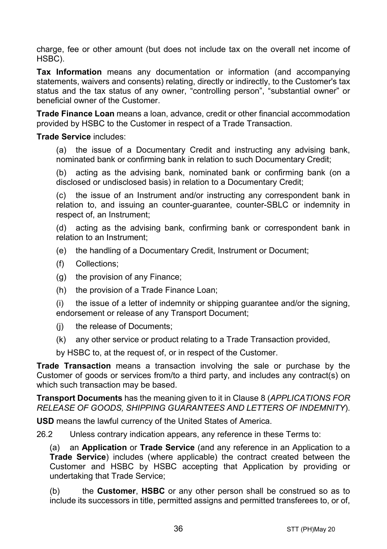charge, fee or other amount (but does not include tax on the overall net income of HSBC).

**Tax Information** means any documentation or information (and accompanying statements, waivers and consents) relating, directly or indirectly, to the Customer's tax status and the tax status of any owner, "controlling person", "substantial owner" or beneficial owner of the Customer.

**Trade Finance Loan** means a loan, advance, credit or other financial accommodation provided by HSBC to the Customer in respect of a Trade Transaction.

#### **Trade Service** includes:

(a) the issue of a Documentary Credit and instructing any advising bank, nominated bank or confirming bank in relation to such Documentary Credit;

(b) acting as the advising bank, nominated bank or confirming bank (on a disclosed or undisclosed basis) in relation to a Documentary Credit;

(c) the issue of an Instrument and/or instructing any correspondent bank in relation to, and issuing an counter-guarantee, counter-SBLC or indemnity in respect of, an Instrument;

(d) acting as the advising bank, confirming bank or correspondent bank in relation to an Instrument;

- (e) the handling of a Documentary Credit, Instrument or Document;
- (f) Collections;
- (g) the provision of any Finance;
- (h) the provision of a Trade Finance Loan;

(i) the issue of a letter of indemnity or shipping guarantee and/or the signing, endorsement or release of any Transport Document;

- (j) the release of Documents;
- (k) any other service or product relating to a Trade Transaction provided,

by HSBC to, at the request of, or in respect of the Customer.

**Trade Transaction** means a transaction involving the sale or purchase by the Customer of goods or services from/to a third party, and includes any contract(s) on which such transaction may be based.

**Transport Documents** has the meaning given to it in Clause [8](#page-12-0) (*[APPLICATIONS FOR](#page-12-0)  [RELEASE OF GOODS, SHIPPING GUARANTEES AND](#page-12-0) LETTERS OF INDEMNITY*).

**USD** means the lawful currency of the United States of America.

26.2 Unless contrary indication appears, any reference in these Terms to:

(a) an **Application** or **Trade Service** (and any reference in an Application to a **Trade Service**) includes (where applicable) the contract created between the Customer and HSBC by HSBC accepting that Application by providing or undertaking that Trade Service;

(b) the **Customer**, **HSBC** or any other person shall be construed so as to include its successors in title, permitted assigns and permitted transferees to, or of,